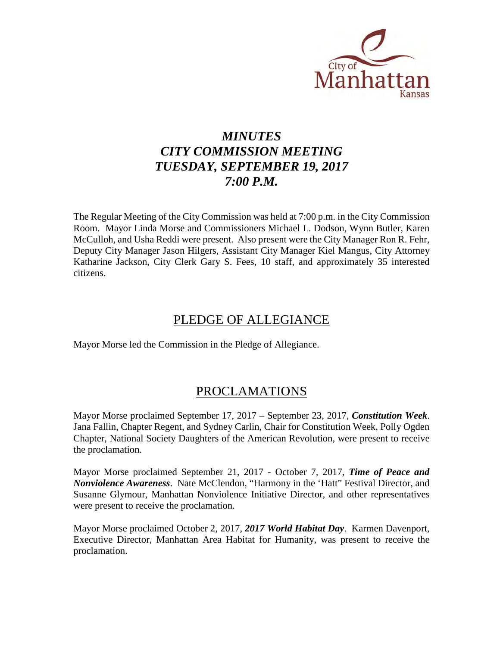

# *MINUTES CITY COMMISSION MEETING TUESDAY, SEPTEMBER 19, 2017 7:00 P.M.*

The Regular Meeting of the City Commission was held at 7:00 p.m. in the City Commission Room. Mayor Linda Morse and Commissioners Michael L. Dodson, Wynn Butler, Karen McCulloh, and Usha Reddi were present. Also present were the City Manager Ron R. Fehr, Deputy City Manager Jason Hilgers, Assistant City Manager Kiel Mangus, City Attorney Katharine Jackson, City Clerk Gary S. Fees, 10 staff, and approximately 35 interested citizens.

## PLEDGE OF ALLEGIANCE

Mayor Morse led the Commission in the Pledge of Allegiance.

# PROCLAMATIONS

Mayor Morse proclaimed September 17, 2017 – September 23, 2017, *Constitution Week*. Jana Fallin, Chapter Regent, and Sydney Carlin, Chair for Constitution Week, Polly Ogden Chapter, National Society Daughters of the American Revolution, were present to receive the proclamation.

Mayor Morse proclaimed September 21, 2017 - October 7, 2017, *Time of Peace and Nonviolence Awareness*. Nate McClendon, "Harmony in the 'Hatt" Festival Director, and Susanne Glymour, Manhattan Nonviolence Initiative Director, and other representatives were present to receive the proclamation.

Mayor Morse proclaimed October 2, 2017, *2017 World Habitat Day*. Karmen Davenport, Executive Director, Manhattan Area Habitat for Humanity, was present to receive the proclamation.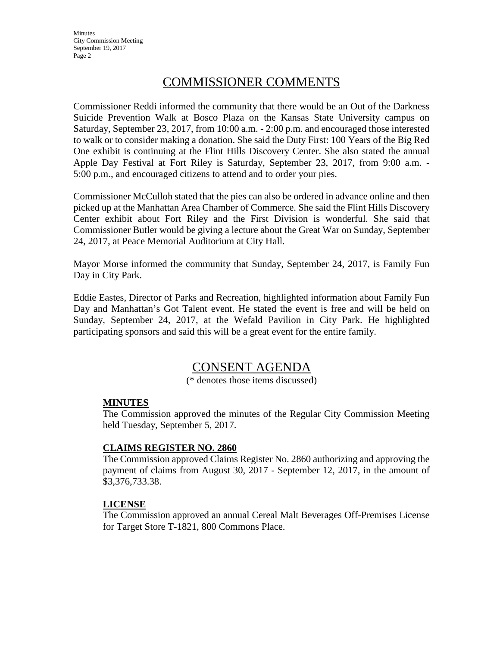## COMMISSIONER COMMENTS

Commissioner Reddi informed the community that there would be an Out of the Darkness Suicide Prevention Walk at Bosco Plaza on the Kansas State University campus on Saturday, September 23, 2017, from 10:00 a.m. - 2:00 p.m. and encouraged those interested to walk or to consider making a donation. She said the Duty First: 100 Years of the Big Red One exhibit is continuing at the Flint Hills Discovery Center. She also stated the annual Apple Day Festival at Fort Riley is Saturday, September 23, 2017, from 9:00 a.m. - 5:00 p.m., and encouraged citizens to attend and to order your pies.

Commissioner McCulloh stated that the pies can also be ordered in advance online and then picked up at the Manhattan Area Chamber of Commerce. She said the Flint Hills Discovery Center exhibit about Fort Riley and the First Division is wonderful. She said that Commissioner Butler would be giving a lecture about the Great War on Sunday, September 24, 2017, at Peace Memorial Auditorium at City Hall.

Mayor Morse informed the community that Sunday, September 24, 2017, is Family Fun Day in City Park.

Eddie Eastes, Director of Parks and Recreation, highlighted information about Family Fun Day and Manhattan's Got Talent event. He stated the event is free and will be held on Sunday, September 24, 2017, at the Wefald Pavilion in City Park. He highlighted participating sponsors and said this will be a great event for the entire family.

# CONSENT AGENDA

(\* denotes those items discussed)

#### **MINUTES**

The Commission approved the minutes of the Regular City Commission Meeting held Tuesday, September 5, 2017.

## **CLAIMS REGISTER NO. 2860**

The Commission approved Claims Register No. 2860 authorizing and approving the payment of claims from August 30, 2017 - September 12, 2017, in the amount of \$3,376,733.38.

#### **LICENSE**

The Commission approved an annual Cereal Malt Beverages Off-Premises License for Target Store T-1821, 800 Commons Place.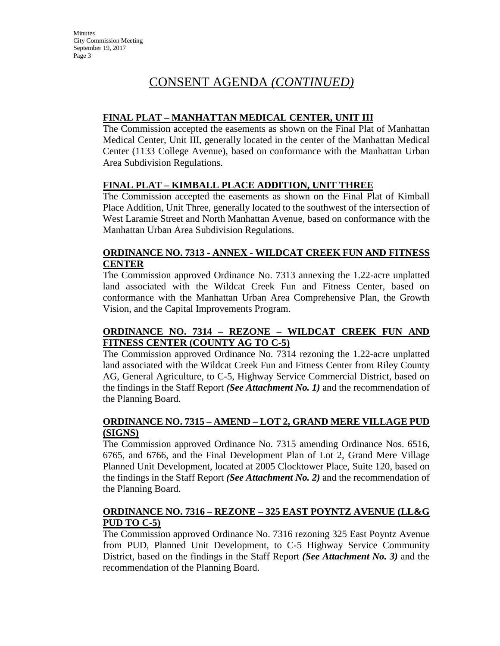## **FINAL PLAT – MANHATTAN MEDICAL CENTER, UNIT III**

The Commission accepted the easements as shown on the Final Plat of Manhattan Medical Center, Unit III, generally located in the center of the Manhattan Medical Center (1133 College Avenue), based on conformance with the Manhattan Urban Area Subdivision Regulations.

## **FINAL PLAT – KIMBALL PLACE ADDITION, UNIT THREE**

The Commission accepted the easements as shown on the Final Plat of Kimball Place Addition, Unit Three, generally located to the southwest of the intersection of West Laramie Street and North Manhattan Avenue, based on conformance with the Manhattan Urban Area Subdivision Regulations.

## **ORDINANCE NO. 7313 - ANNEX - WILDCAT CREEK FUN AND FITNESS CENTER**

The Commission approved Ordinance No. 7313 annexing the 1.22-acre unplatted land associated with the Wildcat Creek Fun and Fitness Center, based on conformance with the Manhattan Urban Area Comprehensive Plan, the Growth Vision, and the Capital Improvements Program.

## **ORDINANCE NO. 7314 – REZONE – WILDCAT CREEK FUN AND FITNESS CENTER (COUNTY AG TO C-5)**

The Commission approved Ordinance No. 7314 rezoning the 1.22-acre unplatted land associated with the Wildcat Creek Fun and Fitness Center from Riley County AG, General Agriculture, to C-5, Highway Service Commercial District, based on the findings in the Staff Report *(See Attachment No. 1)* and the recommendation of the Planning Board.

## **ORDINANCE NO. 7315 – AMEND – LOT 2, GRAND MERE VILLAGE PUD (SIGNS)**

The Commission approved Ordinance No. 7315 amending Ordinance Nos. 6516, 6765, and 6766, and the Final Development Plan of Lot 2, Grand Mere Village Planned Unit Development, located at 2005 Clocktower Place, Suite 120, based on the findings in the Staff Report *(See Attachment No. 2)* and the recommendation of the Planning Board.

## **ORDINANCE NO. 7316 – REZONE – 325 EAST POYNTZ AVENUE (LL&G PUD TO C-5)**

The Commission approved Ordinance No. 7316 rezoning 325 East Poyntz Avenue from PUD, Planned Unit Development, to C-5 Highway Service Community District, based on the findings in the Staff Report *(See Attachment No. 3)* and the recommendation of the Planning Board.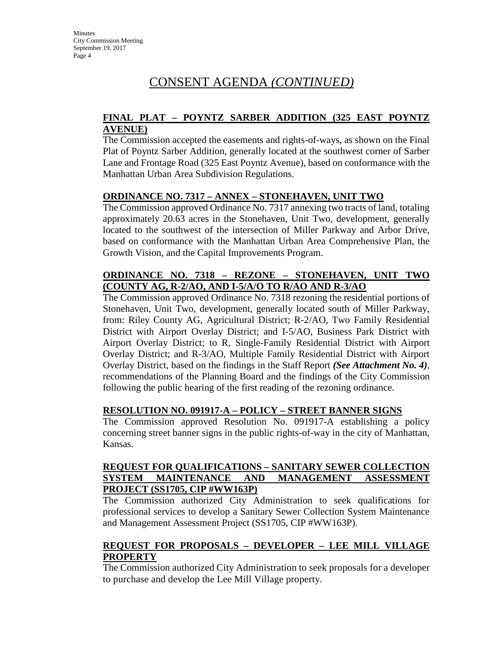## **FINAL PLAT – POYNTZ SARBER ADDITION (325 EAST POYNTZ AVENUE)**

The Commission accepted the easements and rights-of-ways, as shown on the Final Plat of Poyntz Sarber Addition, generally located at the southwest corner of Sarber Lane and Frontage Road (325 East Poyntz Avenue), based on conformance with the Manhattan Urban Area Subdivision Regulations.

## **ORDINANCE NO. 7317 – ANNEX – STONEHAVEN, UNIT TWO**

The Commission approved Ordinance No. 7317 annexing two tracts of land, totaling approximately 20.63 acres in the Stonehaven, Unit Two, development, generally located to the southwest of the intersection of Miller Parkway and Arbor Drive, based on conformance with the Manhattan Urban Area Comprehensive Plan, the Growth Vision, and the Capital Improvements Program.

## **ORDINANCE NO. 7318 – REZONE – STONEHAVEN, UNIT TWO (COUNTY AG, R-2/AO, AND I-5/A/O TO R/AO AND R-3/AO**

The Commission approved Ordinance No. 7318 rezoning the residential portions of Stonehaven, Unit Two, development, generally located south of Miller Parkway, from: Riley County AG, Agricultural District; R-2/AO, Two Family Residential District with Airport Overlay District; and I-5/AO, Business Park District with Airport Overlay District; to R, Single-Family Residential District with Airport Overlay District; and R-3/AO, Multiple Family Residential District with Airport Overlay District, based on the findings in the Staff Report *(See Attachment No. 4)*, recommendations of the Planning Board and the findings of the City Commission following the public hearing of the first reading of the rezoning ordinance.

## **RESOLUTION NO. 091917-A – POLICY – STREET BANNER SIGNS**

The Commission approved Resolution No. 091917-A establishing a policy concerning street banner signs in the public rights-of-way in the city of Manhattan, Kansas.

### **REQUEST FOR QUALIFICATIONS – SANITARY SEWER COLLECTION SYSTEM MAINTENANCE AND MANAGEMENT ASSESSMENT PROJECT (SS1705, CIP #WW163P)**

The Commission authorized City Administration to seek qualifications for professional services to develop a Sanitary Sewer Collection System Maintenance and Management Assessment Project (SS1705, CIP #WW163P).

## **REQUEST FOR PROPOSALS – DEVELOPER – LEE MILL VILLAGE PROPERTY**

The Commission authorized City Administration to seek proposals for a developer to purchase and develop the Lee Mill Village property.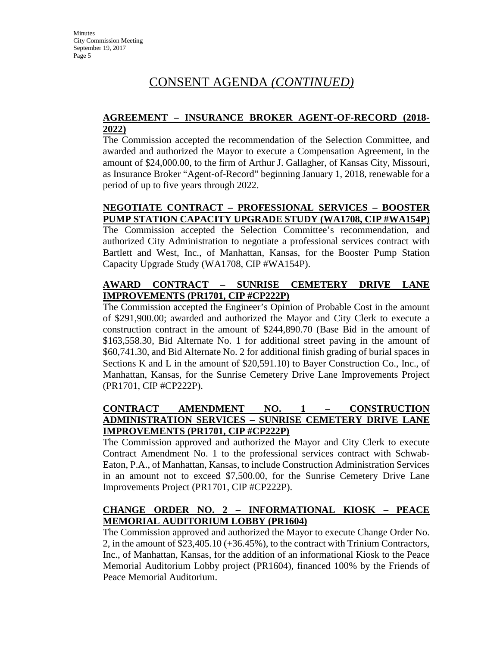### **AGREEMENT – INSURANCE BROKER AGENT-OF-RECORD (2018- 2022)**

The Commission accepted the recommendation of the Selection Committee, and awarded and authorized the Mayor to execute a Compensation Agreement, in the amount of \$24,000.00, to the firm of Arthur J. Gallagher, of Kansas City, Missouri, as Insurance Broker "Agent-of-Record" beginning January 1, 2018, renewable for a period of up to five years through 2022.

## **NEGOTIATE CONTRACT – PROFESSIONAL SERVICES – BOOSTER PUMP STATION CAPACITY UPGRADE STUDY (WA1708, CIP #WA154P)**

The Commission accepted the Selection Committee's recommendation, and authorized City Administration to negotiate a professional services contract with Bartlett and West, Inc., of Manhattan, Kansas, for the Booster Pump Station Capacity Upgrade Study (WA1708, CIP #WA154P).

## **AWARD CONTRACT – SUNRISE CEMETERY DRIVE LANE IMPROVEMENTS (PR1701, CIP #CP222P)**

The Commission accepted the Engineer's Opinion of Probable Cost in the amount of \$291,900.00; awarded and authorized the Mayor and City Clerk to execute a construction contract in the amount of \$244,890.70 (Base Bid in the amount of \$163,558.30, Bid Alternate No. 1 for additional street paving in the amount of \$60,741.30, and Bid Alternate No. 2 for additional finish grading of burial spaces in Sections K and L in the amount of \$20,591.10) to Bayer Construction Co., Inc., of Manhattan, Kansas, for the Sunrise Cemetery Drive Lane Improvements Project (PR1701, CIP #CP222P).

## **CONTRACT AMENDMENT NO. 1 – CONSTRUCTION ADMINISTRATION SERVICES – SUNRISE CEMETERY DRIVE LANE IMPROVEMENTS (PR1701, CIP #CP222P)**

The Commission approved and authorized the Mayor and City Clerk to execute Contract Amendment No. 1 to the professional services contract with Schwab-Eaton, P.A., of Manhattan, Kansas, to include Construction Administration Services in an amount not to exceed \$7,500.00, for the Sunrise Cemetery Drive Lane Improvements Project (PR1701, CIP #CP222P).

## **CHANGE ORDER NO. 2 – INFORMATIONAL KIOSK – PEACE MEMORIAL AUDITORIUM LOBBY (PR1604)**

The Commission approved and authorized the Mayor to execute Change Order No. 2, in the amount of \$23,405.10 (+36.45%), to the contract with Trinium Contractors, Inc., of Manhattan, Kansas, for the addition of an informational Kiosk to the Peace Memorial Auditorium Lobby project (PR1604), financed 100% by the Friends of Peace Memorial Auditorium.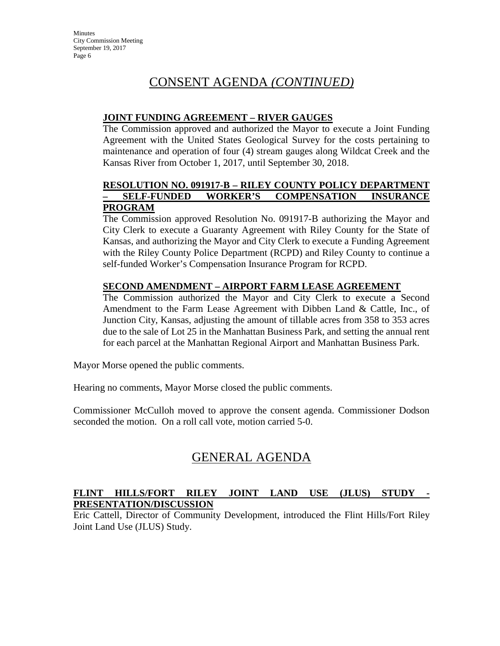## **JOINT FUNDING AGREEMENT – RIVER GAUGES**

The Commission approved and authorized the Mayor to execute a Joint Funding Agreement with the United States Geological Survey for the costs pertaining to maintenance and operation of four (4) stream gauges along Wildcat Creek and the Kansas River from October 1, 2017, until September 30, 2018.

## **RESOLUTION NO. 091917-B – RILEY COUNTY POLICY DEPARTMENT – SELF-FUNDED WORKER'S COMPENSATION INSURANCE PROGRAM**

The Commission approved Resolution No. 091917-B authorizing the Mayor and City Clerk to execute a Guaranty Agreement with Riley County for the State of Kansas, and authorizing the Mayor and City Clerk to execute a Funding Agreement with the Riley County Police Department (RCPD) and Riley County to continue a self-funded Worker's Compensation Insurance Program for RCPD.

## **SECOND AMENDMENT – AIRPORT FARM LEASE AGREEMENT**

The Commission authorized the Mayor and City Clerk to execute a Second Amendment to the Farm Lease Agreement with Dibben Land & Cattle, Inc., of Junction City, Kansas, adjusting the amount of tillable acres from 358 to 353 acres due to the sale of Lot 25 in the Manhattan Business Park, and setting the annual rent for each parcel at the Manhattan Regional Airport and Manhattan Business Park.

Mayor Morse opened the public comments.

Hearing no comments, Mayor Morse closed the public comments.

Commissioner McCulloh moved to approve the consent agenda. Commissioner Dodson seconded the motion. On a roll call vote, motion carried 5-0.

# GENERAL AGENDA

## **FLINT HILLS/FORT RILEY JOINT LAND USE (JLUS) STUDY - PRESENTATION/DISCUSSION**

Eric Cattell, Director of Community Development, introduced the Flint Hills/Fort Riley Joint Land Use (JLUS) Study.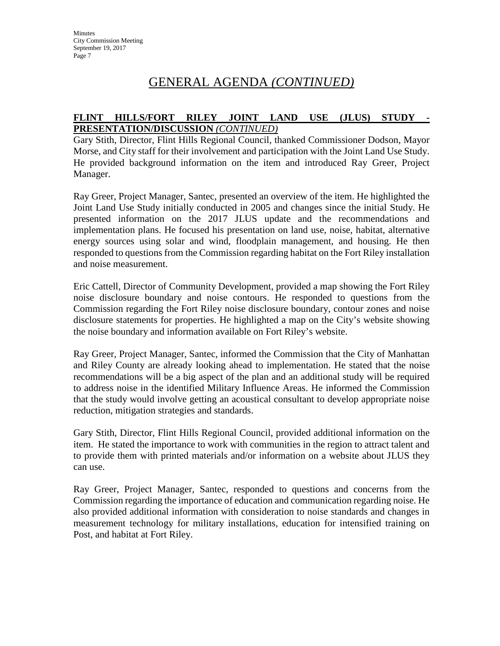## **FLINT HILLS/FORT RILEY JOINT LAND USE (JLUS) STUDY - PRESENTATION/DISCUSSION** *(CONTINUED)*

Gary Stith, Director, Flint Hills Regional Council, thanked Commissioner Dodson, Mayor Morse, and City staff for their involvement and participation with the Joint Land Use Study. He provided background information on the item and introduced Ray Greer, Project Manager.

Ray Greer, Project Manager, Santec, presented an overview of the item. He highlighted the Joint Land Use Study initially conducted in 2005 and changes since the initial Study. He presented information on the 2017 JLUS update and the recommendations and implementation plans. He focused his presentation on land use, noise, habitat, alternative energy sources using solar and wind, floodplain management, and housing. He then responded to questions from the Commission regarding habitat on the Fort Riley installation and noise measurement.

Eric Cattell, Director of Community Development, provided a map showing the Fort Riley noise disclosure boundary and noise contours. He responded to questions from the Commission regarding the Fort Riley noise disclosure boundary, contour zones and noise disclosure statements for properties. He highlighted a map on the City's website showing the noise boundary and information available on Fort Riley's website.

Ray Greer, Project Manager, Santec, informed the Commission that the City of Manhattan and Riley County are already looking ahead to implementation. He stated that the noise recommendations will be a big aspect of the plan and an additional study will be required to address noise in the identified Military Influence Areas. He informed the Commission that the study would involve getting an acoustical consultant to develop appropriate noise reduction, mitigation strategies and standards.

Gary Stith, Director, Flint Hills Regional Council, provided additional information on the item. He stated the importance to work with communities in the region to attract talent and to provide them with printed materials and/or information on a website about JLUS they can use.

Ray Greer, Project Manager, Santec, responded to questions and concerns from the Commission regarding the importance of education and communication regarding noise. He also provided additional information with consideration to noise standards and changes in measurement technology for military installations, education for intensified training on Post, and habitat at Fort Riley.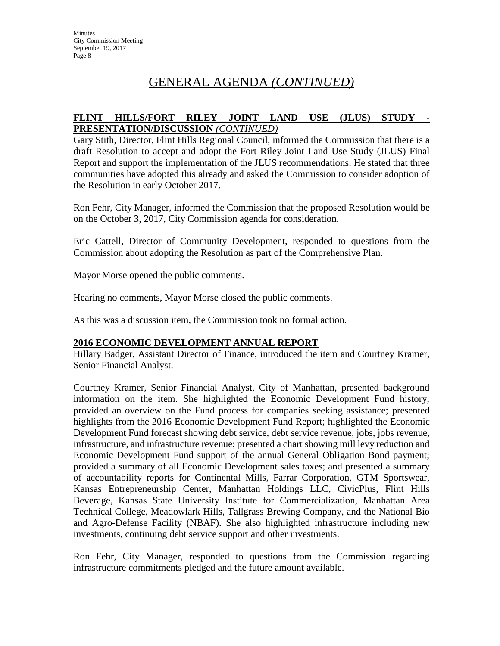## **FLINT HILLS/FORT RILEY JOINT LAND USE (JLUS) STUDY - PRESENTATION/DISCUSSION** *(CONTINUED)*

Gary Stith, Director, Flint Hills Regional Council, informed the Commission that there is a draft Resolution to accept and adopt the Fort Riley Joint Land Use Study (JLUS) Final Report and support the implementation of the JLUS recommendations. He stated that three communities have adopted this already and asked the Commission to consider adoption of the Resolution in early October 2017.

Ron Fehr, City Manager, informed the Commission that the proposed Resolution would be on the October 3, 2017, City Commission agenda for consideration.

Eric Cattell, Director of Community Development, responded to questions from the Commission about adopting the Resolution as part of the Comprehensive Plan.

Mayor Morse opened the public comments.

Hearing no comments, Mayor Morse closed the public comments.

As this was a discussion item, the Commission took no formal action.

#### **2016 ECONOMIC DEVELOPMENT ANNUAL REPORT**

Hillary Badger, Assistant Director of Finance, introduced the item and Courtney Kramer, Senior Financial Analyst.

Courtney Kramer, Senior Financial Analyst, City of Manhattan, presented background information on the item. She highlighted the Economic Development Fund history; provided an overview on the Fund process for companies seeking assistance; presented highlights from the 2016 Economic Development Fund Report; highlighted the Economic Development Fund forecast showing debt service, debt service revenue, jobs, jobs revenue, infrastructure, and infrastructure revenue; presented a chart showing mill levy reduction and Economic Development Fund support of the annual General Obligation Bond payment; provided a summary of all Economic Development sales taxes; and presented a summary of accountability reports for Continental Mills, Farrar Corporation, GTM Sportswear, Kansas Entrepreneurship Center, Manhattan Holdings LLC, CivicPlus, Flint Hills Beverage, Kansas State University Institute for Commercialization, Manhattan Area Technical College, Meadowlark Hills, Tallgrass Brewing Company, and the National Bio and Agro-Defense Facility (NBAF). She also highlighted infrastructure including new investments, continuing debt service support and other investments.

Ron Fehr, City Manager, responded to questions from the Commission regarding infrastructure commitments pledged and the future amount available.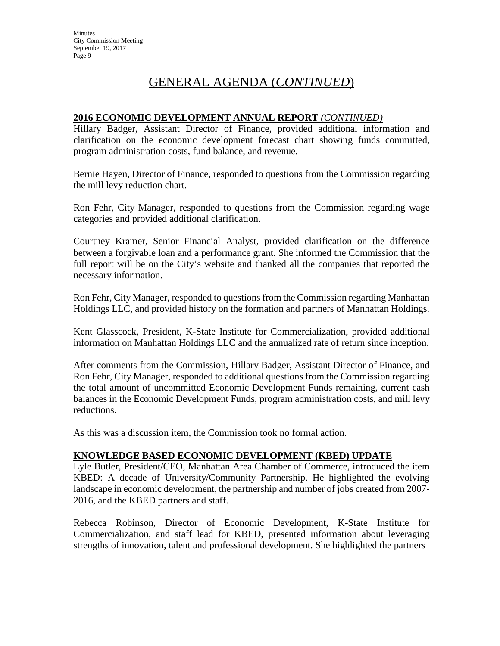## **2016 ECONOMIC DEVELOPMENT ANNUAL REPORT** *(CONTINUED)*

Hillary Badger, Assistant Director of Finance, provided additional information and clarification on the economic development forecast chart showing funds committed, program administration costs, fund balance, and revenue.

Bernie Hayen, Director of Finance, responded to questions from the Commission regarding the mill levy reduction chart.

Ron Fehr, City Manager, responded to questions from the Commission regarding wage categories and provided additional clarification.

Courtney Kramer, Senior Financial Analyst, provided clarification on the difference between a forgivable loan and a performance grant. She informed the Commission that the full report will be on the City's website and thanked all the companies that reported the necessary information.

Ron Fehr, City Manager, responded to questions from the Commission regarding Manhattan Holdings LLC, and provided history on the formation and partners of Manhattan Holdings.

Kent Glasscock, President, K-State Institute for Commercialization, provided additional information on Manhattan Holdings LLC and the annualized rate of return since inception.

After comments from the Commission, Hillary Badger, Assistant Director of Finance, and Ron Fehr, City Manager, responded to additional questions from the Commission regarding the total amount of uncommitted Economic Development Funds remaining, current cash balances in the Economic Development Funds, program administration costs, and mill levy reductions.

As this was a discussion item, the Commission took no formal action.

## **KNOWLEDGE BASED ECONOMIC DEVELOPMENT (KBED) UPDATE**

Lyle Butler, President/CEO, Manhattan Area Chamber of Commerce, introduced the item KBED: A decade of University/Community Partnership. He highlighted the evolving landscape in economic development, the partnership and number of jobs created from 2007- 2016, and the KBED partners and staff.

Rebecca Robinson, Director of Economic Development, K-State Institute for Commercialization, and staff lead for KBED, presented information about leveraging strengths of innovation, talent and professional development. She highlighted the partners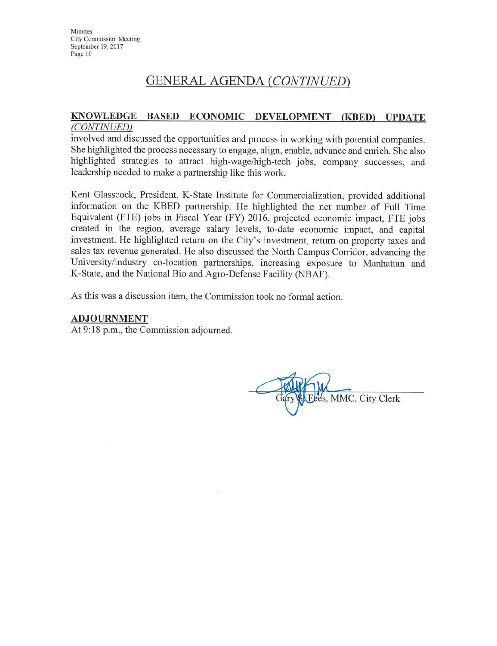#### KNOWLEDGE BASED ECONOMIC DEVELOPMENT (KBED) UPDATE (CONTINUED)

involved and discussed the opportunities and process in working with potential companies. She highlighted the process necessary to engage, align, enable, advance and enrich. She also highlighted strategies to attract high-wage/high-tech jobs, company successes, and leadership needed to make a partnership like this work.

Kent Glasscock, President, K-State Institute for Commercialization, provided additional information on the KBED partnership. He highlighted the net number of Full Time Equivalent (FTE) jobs in Fiscal Year (FY) 2016, projected economic impact, FTE jobs created in the region, average salary levels, to-date economic impact, and capital investment. He highlighted return on the City's investment, return on property taxes and sales tax revenue generated. He also discussed the North Campus Corridor, advancing the University/industry co-location partnerships, increasing exposure to Manhattan and K-State, and the National Bio and Agro-Defense Facility (NBAF).

As this was a discussion item, the Commission took no formal action.

## **ADJOURNMENT**

At 9:18 p.m., the Commission adjourned.

Fees, MMC, City Clerk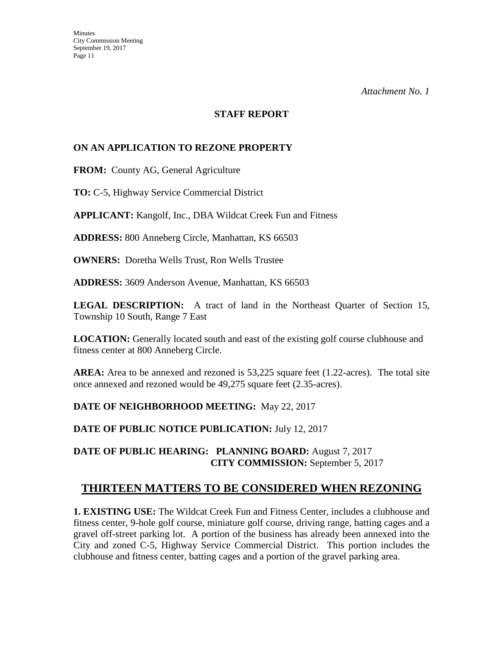#### **STAFF REPORT**

## **ON AN APPLICATION TO REZONE PROPERTY**

**FROM:** County AG, General Agriculture

**TO:** C-5, Highway Service Commercial District

**APPLICANT:** Kangolf, Inc., DBA Wildcat Creek Fun and Fitness

**ADDRESS:** 800 Anneberg Circle, Manhattan, KS 66503

**OWNERS:** Doretha Wells Trust, Ron Wells Trustee

**ADDRESS:** 3609 Anderson Avenue, Manhattan, KS 66503

**LEGAL DESCRIPTION:** A tract of land in the Northeast Quarter of Section 15, Township 10 South, Range 7 East

**LOCATION:** Generally located south and east of the existing golf course clubhouse and fitness center at 800 Anneberg Circle.

**AREA:** Area to be annexed and rezoned is 53,225 square feet (1.22-acres). The total site once annexed and rezoned would be 49,275 square feet (2.35-acres).

**DATE OF NEIGHBORHOOD MEETING:** May 22, 2017

**DATE OF PUBLIC NOTICE PUBLICATION:** July 12, 2017

**DATE OF PUBLIC HEARING: PLANNING BOARD:** August 7, 2017 **CITY COMMISSION:** September 5, 2017

## **THIRTEEN MATTERS TO BE CONSIDERED WHEN REZONING**

**1. EXISTING USE:** The Wildcat Creek Fun and Fitness Center, includes a clubhouse and fitness center, 9-hole golf course, miniature golf course, driving range, batting cages and a gravel off-street parking lot. A portion of the business has already been annexed into the City and zoned C-5, Highway Service Commercial District. This portion includes the clubhouse and fitness center, batting cages and a portion of the gravel parking area.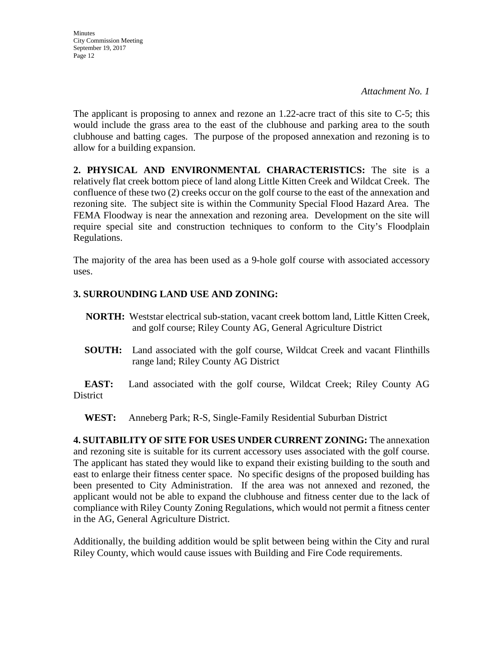*Attachment No. 1*

The applicant is proposing to annex and rezone an 1.22-acre tract of this site to C-5; this would include the grass area to the east of the clubhouse and parking area to the south clubhouse and batting cages. The purpose of the proposed annexation and rezoning is to allow for a building expansion.

**2. PHYSICAL AND ENVIRONMENTAL CHARACTERISTICS:** The site is a relatively flat creek bottom piece of land along Little Kitten Creek and Wildcat Creek. The confluence of these two (2) creeks occur on the golf course to the east of the annexation and rezoning site. The subject site is within the Community Special Flood Hazard Area. The FEMA Floodway is near the annexation and rezoning area. Development on the site will require special site and construction techniques to conform to the City's Floodplain Regulations.

The majority of the area has been used as a 9-hole golf course with associated accessory uses.

## **3. SURROUNDING LAND USE AND ZONING:**

- **NORTH:** Weststar electrical sub-station, vacant creek bottom land, Little Kitten Creek, and golf course; Riley County AG, General Agriculture District
- **SOUTH:** Land associated with the golf course, Wildcat Creek and vacant Flinthills range land; Riley County AG District

**EAST:** Land associated with the golf course, Wildcat Creek; Riley County AG **District** 

**WEST:** Anneberg Park; R-S, Single-Family Residential Suburban District

**4. SUITABILITY OF SITE FOR USES UNDER CURRENT ZONING:** The annexation and rezoning site is suitable for its current accessory uses associated with the golf course. The applicant has stated they would like to expand their existing building to the south and east to enlarge their fitness center space. No specific designs of the proposed building has been presented to City Administration. If the area was not annexed and rezoned, the applicant would not be able to expand the clubhouse and fitness center due to the lack of compliance with Riley County Zoning Regulations, which would not permit a fitness center in the AG, General Agriculture District.

Additionally, the building addition would be split between being within the City and rural Riley County, which would cause issues with Building and Fire Code requirements.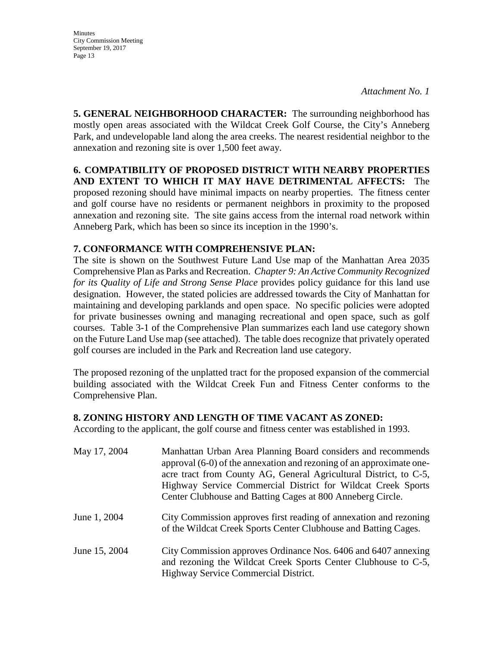**Minutes** City Commission Meeting September 19, 2017 Page 13

**5. GENERAL NEIGHBORHOOD CHARACTER:** The surrounding neighborhood has mostly open areas associated with the Wildcat Creek Golf Course, the City's Anneberg Park, and undevelopable land along the area creeks. The nearest residential neighbor to the annexation and rezoning site is over 1,500 feet away.

**6. COMPATIBILITY OF PROPOSED DISTRICT WITH NEARBY PROPERTIES AND EXTENT TO WHICH IT MAY HAVE DETRIMENTAL AFFECTS:** The proposed rezoning should have minimal impacts on nearby properties. The fitness center and golf course have no residents or permanent neighbors in proximity to the proposed annexation and rezoning site. The site gains access from the internal road network within Anneberg Park, which has been so since its inception in the 1990's.

## **7. CONFORMANCE WITH COMPREHENSIVE PLAN:**

The site is shown on the Southwest Future Land Use map of the Manhattan Area 2035 Comprehensive Plan as Parks and Recreation. *Chapter 9: An Active Community Recognized for its Quality of Life and Strong Sense Place* provides policy guidance for this land use designation. However, the stated policies are addressed towards the City of Manhattan for maintaining and developing parklands and open space. No specific policies were adopted for private businesses owning and managing recreational and open space, such as golf courses. Table 3-1 of the Comprehensive Plan summarizes each land use category shown on the Future Land Use map (see attached). The table does recognize that privately operated golf courses are included in the Park and Recreation land use category.

The proposed rezoning of the unplatted tract for the proposed expansion of the commercial building associated with the Wildcat Creek Fun and Fitness Center conforms to the Comprehensive Plan.

#### **8. ZONING HISTORY AND LENGTH OF TIME VACANT AS ZONED:**

According to the applicant, the golf course and fitness center was established in 1993.

| May 17, 2004  | Manhattan Urban Area Planning Board considers and recommends<br>approval (6-0) of the annexation and rezoning of an approximate one-<br>acre tract from County AG, General Agricultural District, to C-5,<br>Highway Service Commercial District for Wildcat Creek Sports<br>Center Clubhouse and Batting Cages at 800 Anneberg Circle. |
|---------------|-----------------------------------------------------------------------------------------------------------------------------------------------------------------------------------------------------------------------------------------------------------------------------------------------------------------------------------------|
| June 1, 2004  | City Commission approves first reading of annexation and rezoning<br>of the Wildcat Creek Sports Center Clubhouse and Batting Cages.                                                                                                                                                                                                    |
| June 15, 2004 | City Commission approves Ordinance Nos. 6406 and 6407 annexing<br>and rezoning the Wildcat Creek Sports Center Clubhouse to C-5,<br>Highway Service Commercial District.                                                                                                                                                                |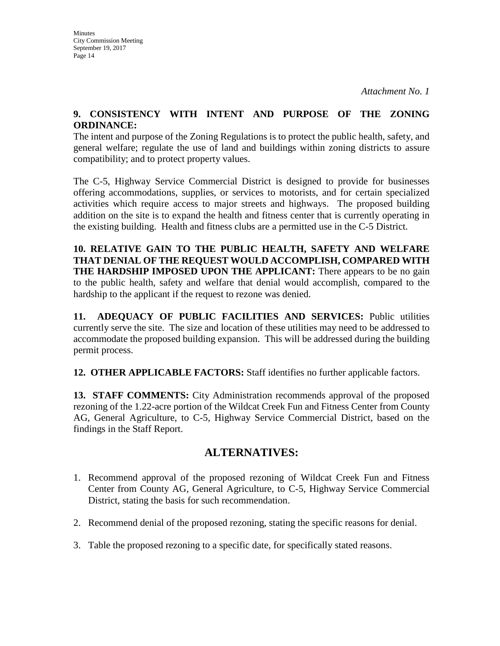## **9. CONSISTENCY WITH INTENT AND PURPOSE OF THE ZONING ORDINANCE:**

The intent and purpose of the Zoning Regulations is to protect the public health, safety, and general welfare; regulate the use of land and buildings within zoning districts to assure compatibility; and to protect property values.

The C-5, Highway Service Commercial District is designed to provide for businesses offering accommodations, supplies, or services to motorists, and for certain specialized activities which require access to major streets and highways. The proposed building addition on the site is to expand the health and fitness center that is currently operating in the existing building. Health and fitness clubs are a permitted use in the C-5 District.

**10. RELATIVE GAIN TO THE PUBLIC HEALTH, SAFETY AND WELFARE THAT DENIAL OF THE REQUEST WOULD ACCOMPLISH, COMPARED WITH THE HARDSHIP IMPOSED UPON THE APPLICANT:** There appears to be no gain to the public health, safety and welfare that denial would accomplish, compared to the hardship to the applicant if the request to rezone was denied.

**11. ADEQUACY OF PUBLIC FACILITIES AND SERVICES:** Public utilities currently serve the site. The size and location of these utilities may need to be addressed to accommodate the proposed building expansion. This will be addressed during the building permit process.

**12. OTHER APPLICABLE FACTORS:** Staff identifies no further applicable factors.

**13. STAFF COMMENTS:** City Administration recommends approval of the proposed rezoning of the 1.22-acre portion of the Wildcat Creek Fun and Fitness Center from County AG, General Agriculture, to C-5, Highway Service Commercial District, based on the findings in the Staff Report.

## **ALTERNATIVES:**

- 1. Recommend approval of the proposed rezoning of Wildcat Creek Fun and Fitness Center from County AG, General Agriculture, to C-5, Highway Service Commercial District, stating the basis for such recommendation.
- 2. Recommend denial of the proposed rezoning, stating the specific reasons for denial.
- 3. Table the proposed rezoning to a specific date, for specifically stated reasons.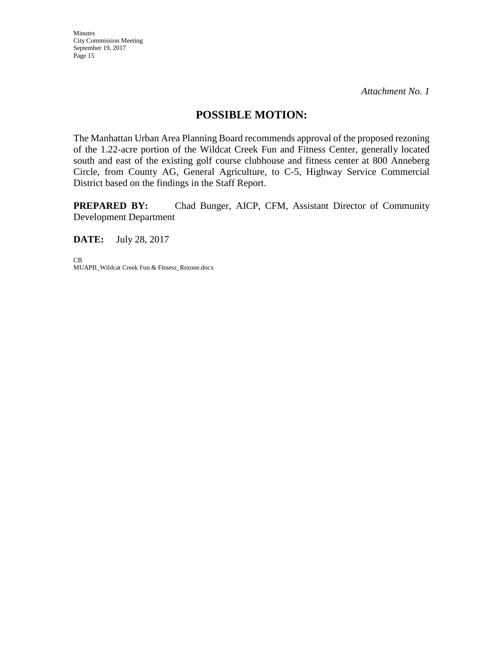## **POSSIBLE MOTION:**

The Manhattan Urban Area Planning Board recommends approval of the proposed rezoning of the 1.22-acre portion of the Wildcat Creek Fun and Fitness Center, generally located south and east of the existing golf course clubhouse and fitness center at 800 Anneberg Circle, from County AG, General Agriculture, to C-5, Highway Service Commercial District based on the findings in the Staff Report.

**PREPARED BY:** Chad Bunger, AICP, CFM, Assistant Director of Community Development Department

**DATE:** July 28, 2017

CB MUAPB\_Wildcat Creek Fun & Fitness\_Rezone.docx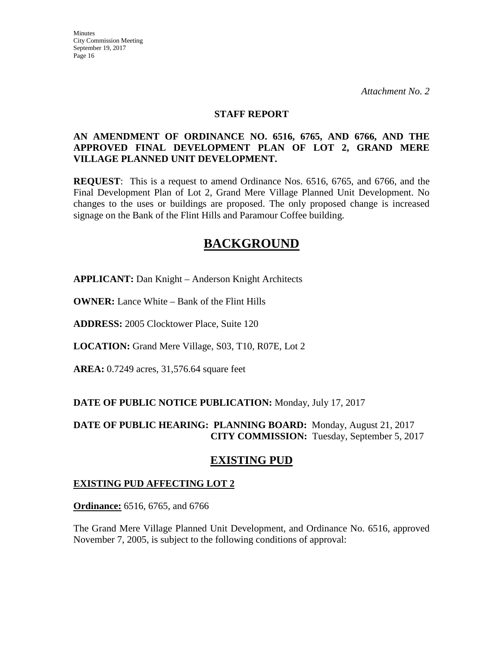#### **STAFF REPORT**

## **AN AMENDMENT OF ORDINANCE NO. 6516, 6765, AND 6766, AND THE APPROVED FINAL DEVELOPMENT PLAN OF LOT 2, GRAND MERE VILLAGE PLANNED UNIT DEVELOPMENT.**

**REQUEST**: This is a request to amend Ordinance Nos. 6516, 6765, and 6766, and the Final Development Plan of Lot 2, Grand Mere Village Planned Unit Development. No changes to the uses or buildings are proposed. The only proposed change is increased signage on the Bank of the Flint Hills and Paramour Coffee building.

## **BACKGROUND**

**APPLICANT:** Dan Knight – Anderson Knight Architects

**OWNER:** Lance White – Bank of the Flint Hills

**ADDRESS:** 2005 Clocktower Place, Suite 120

**LOCATION:** Grand Mere Village, S03, T10, R07E, Lot 2

**AREA:** 0.7249 acres, 31,576.64 square feet

## **DATE OF PUBLIC NOTICE PUBLICATION:** Monday, July 17, 2017

## **DATE OF PUBLIC HEARING: PLANNING BOARD:** Monday, August 21, 2017 **CITY COMMISSION:** Tuesday, September 5, 2017

## **EXISTING PUD**

## **EXISTING PUD AFFECTING LOT 2**

**Ordinance:** 6516, 6765, and 6766

The Grand Mere Village Planned Unit Development, and Ordinance No. 6516, approved November 7, 2005, is subject to the following conditions of approval: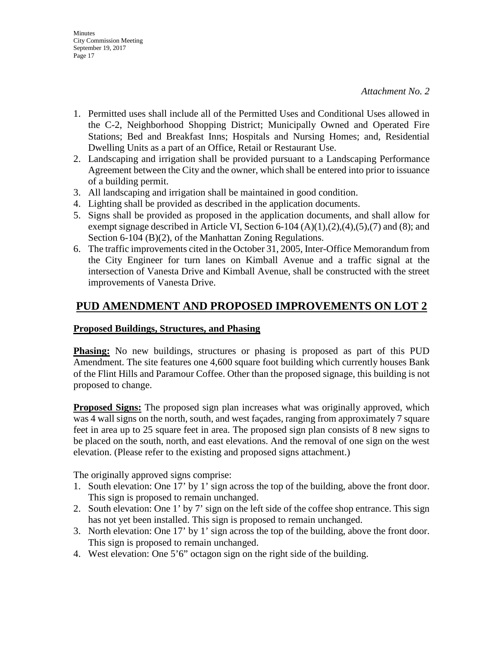- 1. Permitted uses shall include all of the Permitted Uses and Conditional Uses allowed in the C-2, Neighborhood Shopping District; Municipally Owned and Operated Fire Stations; Bed and Breakfast Inns; Hospitals and Nursing Homes; and, Residential Dwelling Units as a part of an Office, Retail or Restaurant Use.
- 2. Landscaping and irrigation shall be provided pursuant to a Landscaping Performance Agreement between the City and the owner, which shall be entered into prior to issuance of a building permit.
- 3. All landscaping and irrigation shall be maintained in good condition.
- 4. Lighting shall be provided as described in the application documents.
- 5. Signs shall be provided as proposed in the application documents, and shall allow for exempt signage described in Article VI, Section 6-104  $(A)(1),(2),(4),(5),(7)$  and  $(8)$ ; and Section 6-104 (B)(2), of the Manhattan Zoning Regulations.
- 6. The traffic improvements cited in the October 31, 2005, Inter-Office Memorandum from the City Engineer for turn lanes on Kimball Avenue and a traffic signal at the intersection of Vanesta Drive and Kimball Avenue, shall be constructed with the street improvements of Vanesta Drive.

## **PUD AMENDMENT AND PROPOSED IMPROVEMENTS ON LOT 2**

## **Proposed Buildings, Structures, and Phasing**

**Phasing:** No new buildings, structures or phasing is proposed as part of this PUD Amendment. The site features one 4,600 square foot building which currently houses Bank of the Flint Hills and Paramour Coffee. Other than the proposed signage, this building is not proposed to change.

**Proposed Signs:** The proposed sign plan increases what was originally approved, which was 4 wall signs on the north, south, and west façades, ranging from approximately 7 square feet in area up to 25 square feet in area. The proposed sign plan consists of 8 new signs to be placed on the south, north, and east elevations. And the removal of one sign on the west elevation. (Please refer to the existing and proposed signs attachment.)

The originally approved signs comprise:

- 1. South elevation: One 17' by 1' sign across the top of the building, above the front door. This sign is proposed to remain unchanged.
- 2. South elevation: One 1' by 7' sign on the left side of the coffee shop entrance. This sign has not yet been installed. This sign is proposed to remain unchanged.
- 3. North elevation: One 17' by 1' sign across the top of the building, above the front door. This sign is proposed to remain unchanged.
- 4. West elevation: One 5'6" octagon sign on the right side of the building.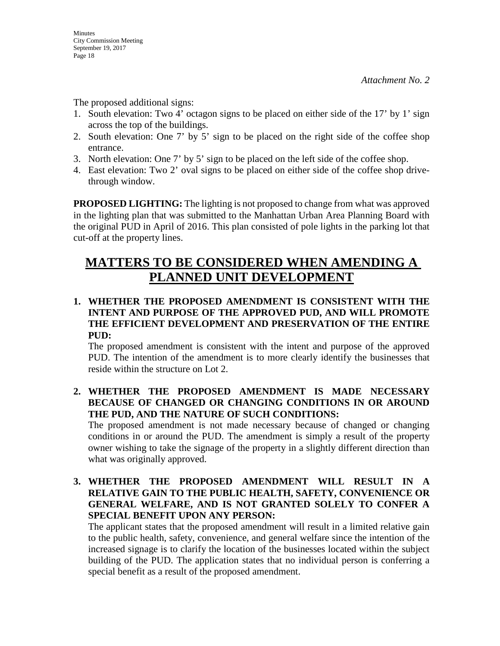The proposed additional signs:

- 1. South elevation: Two 4' octagon signs to be placed on either side of the 17' by 1' sign across the top of the buildings.
- 2. South elevation: One 7' by 5' sign to be placed on the right side of the coffee shop entrance.
- 3. North elevation: One 7' by 5' sign to be placed on the left side of the coffee shop.
- 4. East elevation: Two 2' oval signs to be placed on either side of the coffee shop drivethrough window.

**PROPOSED LIGHTING:** The lighting is not proposed to change from what was approved in the lighting plan that was submitted to the Manhattan Urban Area Planning Board with the original PUD in April of 2016. This plan consisted of pole lights in the parking lot that cut-off at the property lines.

# **MATTERS TO BE CONSIDERED WHEN AMENDING A PLANNED UNIT DEVELOPMENT**

## **1. WHETHER THE PROPOSED AMENDMENT IS CONSISTENT WITH THE INTENT AND PURPOSE OF THE APPROVED PUD, AND WILL PROMOTE THE EFFICIENT DEVELOPMENT AND PRESERVATION OF THE ENTIRE PUD:**

The proposed amendment is consistent with the intent and purpose of the approved PUD. The intention of the amendment is to more clearly identify the businesses that reside within the structure on Lot 2.

**2. WHETHER THE PROPOSED AMENDMENT IS MADE NECESSARY BECAUSE OF CHANGED OR CHANGING CONDITIONS IN OR AROUND THE PUD, AND THE NATURE OF SUCH CONDITIONS:** 

The proposed amendment is not made necessary because of changed or changing conditions in or around the PUD. The amendment is simply a result of the property owner wishing to take the signage of the property in a slightly different direction than what was originally approved.

**3. WHETHER THE PROPOSED AMENDMENT WILL RESULT IN A RELATIVE GAIN TO THE PUBLIC HEALTH, SAFETY, CONVENIENCE OR GENERAL WELFARE, AND IS NOT GRANTED SOLELY TO CONFER A SPECIAL BENEFIT UPON ANY PERSON:** 

The applicant states that the proposed amendment will result in a limited relative gain to the public health, safety, convenience, and general welfare since the intention of the increased signage is to clarify the location of the businesses located within the subject building of the PUD. The application states that no individual person is conferring a special benefit as a result of the proposed amendment.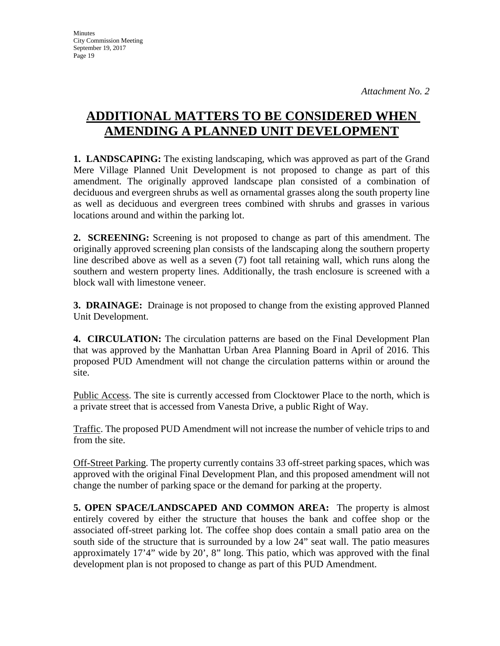# **ADDITIONAL MATTERS TO BE CONSIDERED WHEN AMENDING A PLANNED UNIT DEVELOPMENT**

**1. LANDSCAPING:** The existing landscaping, which was approved as part of the Grand Mere Village Planned Unit Development is not proposed to change as part of this amendment. The originally approved landscape plan consisted of a combination of deciduous and evergreen shrubs as well as ornamental grasses along the south property line as well as deciduous and evergreen trees combined with shrubs and grasses in various locations around and within the parking lot.

**2. SCREENING:** Screening is not proposed to change as part of this amendment. The originally approved screening plan consists of the landscaping along the southern property line described above as well as a seven (7) foot tall retaining wall, which runs along the southern and western property lines. Additionally, the trash enclosure is screened with a block wall with limestone veneer.

**3. DRAINAGE:** Drainage is not proposed to change from the existing approved Planned Unit Development.

**4. CIRCULATION:** The circulation patterns are based on the Final Development Plan that was approved by the Manhattan Urban Area Planning Board in April of 2016. This proposed PUD Amendment will not change the circulation patterns within or around the site.

Public Access. The site is currently accessed from Clocktower Place to the north, which is a private street that is accessed from Vanesta Drive, a public Right of Way.

Traffic. The proposed PUD Amendment will not increase the number of vehicle trips to and from the site.

Off-Street Parking. The property currently contains 33 off-street parking spaces, which was approved with the original Final Development Plan, and this proposed amendment will not change the number of parking space or the demand for parking at the property.

**5. OPEN SPACE/LANDSCAPED AND COMMON AREA:** The property is almost entirely covered by either the structure that houses the bank and coffee shop or the associated off-street parking lot. The coffee shop does contain a small patio area on the south side of the structure that is surrounded by a low 24" seat wall. The patio measures approximately 17'4" wide by 20', 8" long. This patio, which was approved with the final development plan is not proposed to change as part of this PUD Amendment.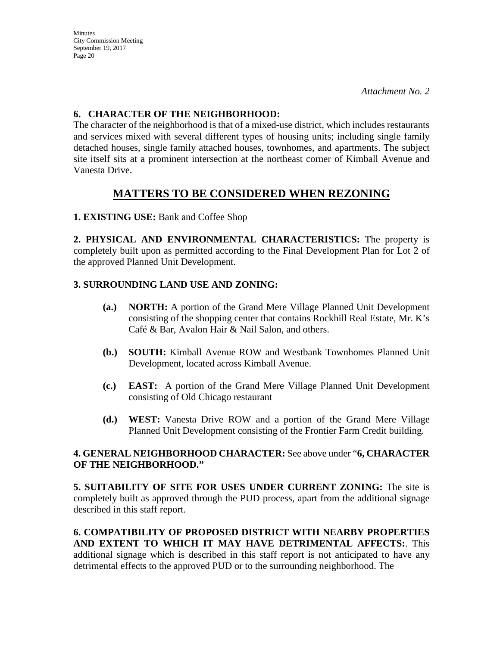## **6. CHARACTER OF THE NEIGHBORHOOD:**

The character of the neighborhood is that of a mixed-use district, which includes restaurants and services mixed with several different types of housing units; including single family detached houses, single family attached houses, townhomes, and apartments. The subject site itself sits at a prominent intersection at the northeast corner of Kimball Avenue and Vanesta Drive.

## **MATTERS TO BE CONSIDERED WHEN REZONING**

## **1. EXISTING USE:** Bank and Coffee Shop

**2. PHYSICAL AND ENVIRONMENTAL CHARACTERISTICS:** The property is completely built upon as permitted according to the Final Development Plan for Lot 2 of the approved Planned Unit Development.

## **3. SURROUNDING LAND USE AND ZONING:**

- **(a.) NORTH:** A portion of the Grand Mere Village Planned Unit Development consisting of the shopping center that contains Rockhill Real Estate, Mr. K's Café & Bar, Avalon Hair & Nail Salon, and others.
- **(b.) SOUTH:** Kimball Avenue ROW and Westbank Townhomes Planned Unit Development, located across Kimball Avenue.
- **(c.) EAST:** A portion of the Grand Mere Village Planned Unit Development consisting of Old Chicago restaurant
- **(d.) WEST:** Vanesta Drive ROW and a portion of the Grand Mere Village Planned Unit Development consisting of the Frontier Farm Credit building.

## **4. GENERAL NEIGHBORHOOD CHARACTER:** See above under "**6, CHARACTER OF THE NEIGHBORHOOD."**

**5. SUITABILITY OF SITE FOR USES UNDER CURRENT ZONING:** The site is completely built as approved through the PUD process, apart from the additional signage described in this staff report.

**6. COMPATIBILITY OF PROPOSED DISTRICT WITH NEARBY PROPERTIES AND EXTENT TO WHICH IT MAY HAVE DETRIMENTAL AFFECTS:**. This additional signage which is described in this staff report is not anticipated to have any detrimental effects to the approved PUD or to the surrounding neighborhood. The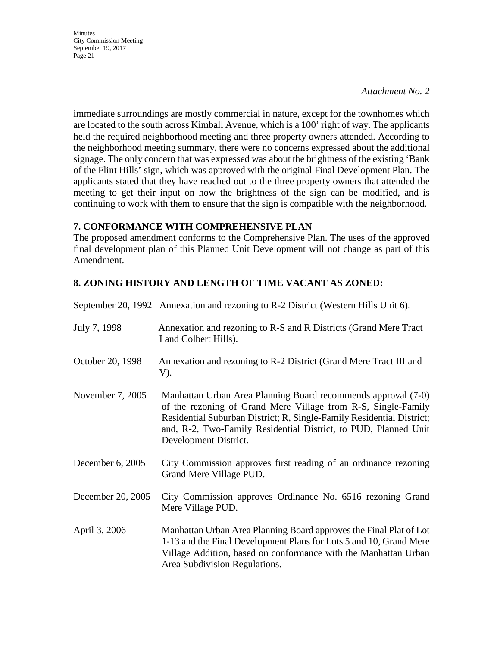#### *Attachment No. 2*

immediate surroundings are mostly commercial in nature, except for the townhomes which are located to the south across Kimball Avenue, which is a 100' right of way. The applicants held the required neighborhood meeting and three property owners attended. According to the neighborhood meeting summary, there were no concerns expressed about the additional signage. The only concern that was expressed was about the brightness of the existing 'Bank of the Flint Hills' sign, which was approved with the original Final Development Plan. The applicants stated that they have reached out to the three property owners that attended the meeting to get their input on how the brightness of the sign can be modified, and is continuing to work with them to ensure that the sign is compatible with the neighborhood.

### **7. CONFORMANCE WITH COMPREHENSIVE PLAN**

The proposed amendment conforms to the Comprehensive Plan. The uses of the approved final development plan of this Planned Unit Development will not change as part of this Amendment.

## **8. ZONING HISTORY AND LENGTH OF TIME VACANT AS ZONED:**

|                   | September 20, 1992 Annexation and rezoning to R-2 District (Western Hills Unit 6).                                                                                                                                                                                                                  |
|-------------------|-----------------------------------------------------------------------------------------------------------------------------------------------------------------------------------------------------------------------------------------------------------------------------------------------------|
| July 7, 1998      | Annexation and rezoning to R-S and R Districts (Grand Mere Tract)<br>I and Colbert Hills).                                                                                                                                                                                                          |
| October 20, 1998  | Annexation and rezoning to R-2 District (Grand Mere Tract III and<br>V).                                                                                                                                                                                                                            |
| November 7, 2005  | Manhattan Urban Area Planning Board recommends approval (7-0)<br>of the rezoning of Grand Mere Village from R-S, Single-Family<br>Residential Suburban District; R, Single-Family Residential District;<br>and, R-2, Two-Family Residential District, to PUD, Planned Unit<br>Development District. |
| December 6, 2005  | City Commission approves first reading of an ordinance rezoning<br>Grand Mere Village PUD.                                                                                                                                                                                                          |
| December 20, 2005 | City Commission approves Ordinance No. 6516 rezoning Grand<br>Mere Village PUD.                                                                                                                                                                                                                     |
| April 3, 2006     | Manhattan Urban Area Planning Board approves the Final Plat of Lot<br>1-13 and the Final Development Plans for Lots 5 and 10, Grand Mere<br>Village Addition, based on conformance with the Manhattan Urban<br>Area Subdivision Regulations.                                                        |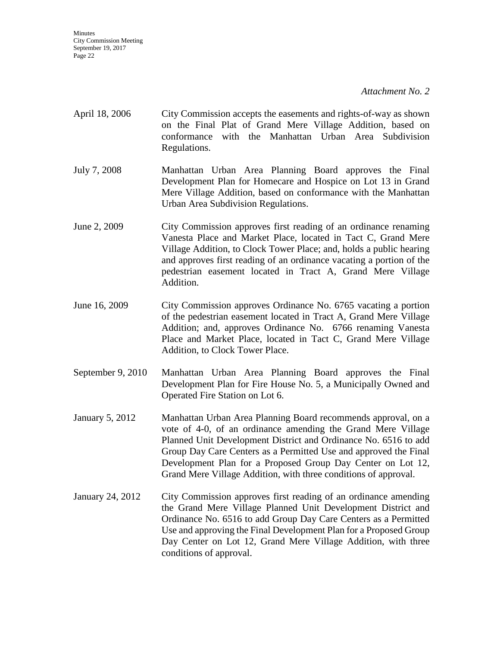*Attachment No. 2*

- April 18, 2006 City Commission accepts the easements and rights-of-way as shown on the Final Plat of Grand Mere Village Addition, based on conformance with the Manhattan Urban Area Subdivision Regulations.
- July 7, 2008 Manhattan Urban Area Planning Board approves the Final Development Plan for Homecare and Hospice on Lot 13 in Grand Mere Village Addition, based on conformance with the Manhattan Urban Area Subdivision Regulations.
- June 2, 2009 City Commission approves first reading of an ordinance renaming Vanesta Place and Market Place, located in Tact C, Grand Mere Village Addition, to Clock Tower Place; and, holds a public hearing and approves first reading of an ordinance vacating a portion of the pedestrian easement located in Tract A, Grand Mere Village Addition.
- June 16, 2009 City Commission approves Ordinance No. 6765 vacating a portion of the pedestrian easement located in Tract A, Grand Mere Village Addition; and, approves Ordinance No. 6766 renaming Vanesta Place and Market Place, located in Tact C, Grand Mere Village Addition, to Clock Tower Place.
- September 9, 2010 Manhattan Urban Area Planning Board approves the Final Development Plan for Fire House No. 5, a Municipally Owned and Operated Fire Station on Lot 6.
- January 5, 2012 Manhattan Urban Area Planning Board recommends approval, on a vote of 4-0, of an ordinance amending the Grand Mere Village Planned Unit Development District and Ordinance No. 6516 to add Group Day Care Centers as a Permitted Use and approved the Final Development Plan for a Proposed Group Day Center on Lot 12, Grand Mere Village Addition, with three conditions of approval.
- January 24, 2012 City Commission approves first reading of an ordinance amending the Grand Mere Village Planned Unit Development District and Ordinance No. 6516 to add Group Day Care Centers as a Permitted Use and approving the Final Development Plan for a Proposed Group Day Center on Lot 12, Grand Mere Village Addition, with three conditions of approval.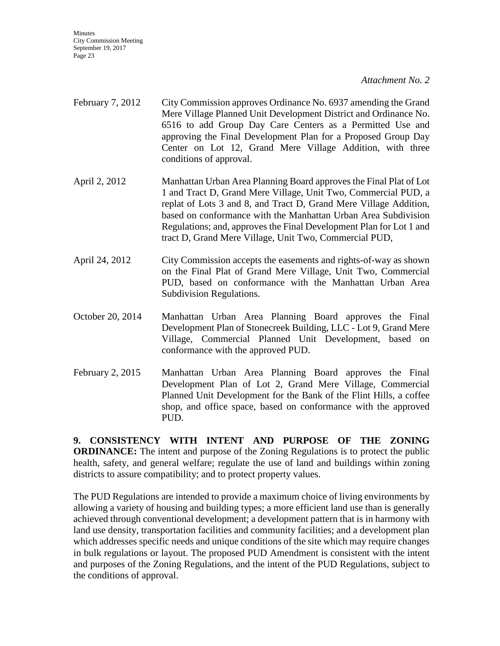*Attachment No. 2*

- February 7, 2012 City Commission approves Ordinance No. 6937 amending the Grand Mere Village Planned Unit Development District and Ordinance No. 6516 to add Group Day Care Centers as a Permitted Use and approving the Final Development Plan for a Proposed Group Day Center on Lot 12, Grand Mere Village Addition, with three conditions of approval.
- April 2, 2012 Manhattan Urban Area Planning Board approves the Final Plat of Lot 1 and Tract D, Grand Mere Village, Unit Two, Commercial PUD, a replat of Lots 3 and 8, and Tract D, Grand Mere Village Addition, based on conformance with the Manhattan Urban Area Subdivision Regulations; and, approves the Final Development Plan for Lot 1 and tract D, Grand Mere Village, Unit Two, Commercial PUD,
- April 24, 2012 City Commission accepts the easements and rights-of-way as shown on the Final Plat of Grand Mere Village, Unit Two, Commercial PUD, based on conformance with the Manhattan Urban Area Subdivision Regulations.
- October 20, 2014 Manhattan Urban Area Planning Board approves the Final Development Plan of Stonecreek Building, LLC - Lot 9, Grand Mere Village, Commercial Planned Unit Development, based on conformance with the approved PUD.
- February 2, 2015 Manhattan Urban Area Planning Board approves the Final Development Plan of Lot 2, Grand Mere Village, Commercial Planned Unit Development for the Bank of the Flint Hills, a coffee shop, and office space, based on conformance with the approved PUD.

**9. CONSISTENCY WITH INTENT AND PURPOSE OF THE ZONING ORDINANCE:** The intent and purpose of the Zoning Regulations is to protect the public health, safety, and general welfare; regulate the use of land and buildings within zoning districts to assure compatibility; and to protect property values.

The PUD Regulations are intended to provide a maximum choice of living environments by allowing a variety of housing and building types; a more efficient land use than is generally achieved through conventional development; a development pattern that is in harmony with land use density, transportation facilities and community facilities; and a development plan which addresses specific needs and unique conditions of the site which may require changes in bulk regulations or layout. The proposed PUD Amendment is consistent with the intent and purposes of the Zoning Regulations, and the intent of the PUD Regulations, subject to the conditions of approval.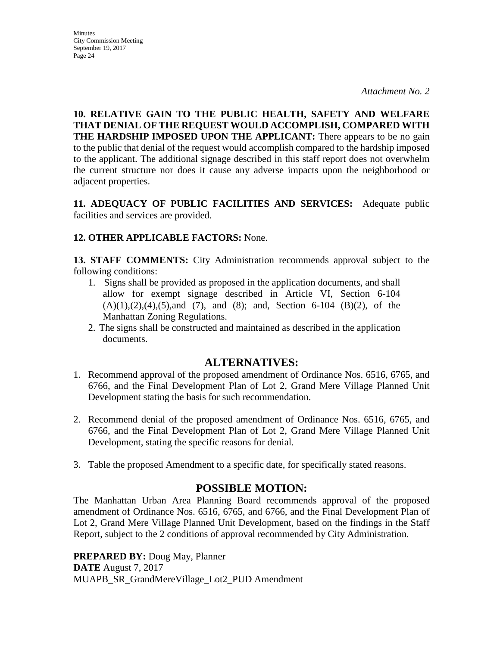**Minutes** City Commission Meeting September 19, 2017 Page 24

**10. RELATIVE GAIN TO THE PUBLIC HEALTH, SAFETY AND WELFARE THAT DENIAL OF THE REQUEST WOULD ACCOMPLISH, COMPARED WITH THE HARDSHIP IMPOSED UPON THE APPLICANT:** There appears to be no gain to the public that denial of the request would accomplish compared to the hardship imposed to the applicant. The additional signage described in this staff report does not overwhelm the current structure nor does it cause any adverse impacts upon the neighborhood or adjacent properties.

**11. ADEQUACY OF PUBLIC FACILITIES AND SERVICES:** Adequate public facilities and services are provided.

## **12. OTHER APPLICABLE FACTORS:** None.

**13. STAFF COMMENTS:** City Administration recommends approval subject to the following conditions:

- 1. Signs shall be provided as proposed in the application documents, and shall allow for exempt signage described in Article VI, Section 6-104  $(A)(1), (2), (4), (5), and (7), and (8); and Section 6-104 (B)(2), of the$ Manhattan Zoning Regulations.
- 2. The signs shall be constructed and maintained as described in the application documents.

## **ALTERNATIVES:**

- 1. Recommend approval of the proposed amendment of Ordinance Nos. 6516, 6765, and 6766, and the Final Development Plan of Lot 2, Grand Mere Village Planned Unit Development stating the basis for such recommendation.
- 2. Recommend denial of the proposed amendment of Ordinance Nos. 6516, 6765, and 6766, and the Final Development Plan of Lot 2, Grand Mere Village Planned Unit Development, stating the specific reasons for denial.
- 3. Table the proposed Amendment to a specific date, for specifically stated reasons.

## **POSSIBLE MOTION:**

The Manhattan Urban Area Planning Board recommends approval of the proposed amendment of Ordinance Nos. 6516, 6765, and 6766, and the Final Development Plan of Lot 2, Grand Mere Village Planned Unit Development, based on the findings in the Staff Report, subject to the 2 conditions of approval recommended by City Administration.

**PREPARED BY:** Doug May, Planner **DATE** August 7, 2017 MUAPB\_SR\_GrandMereVillage\_Lot2\_PUD Amendment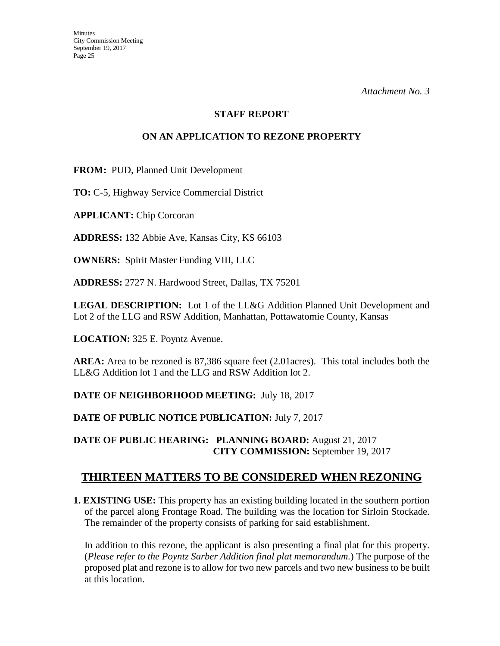## **STAFF REPORT**

## **ON AN APPLICATION TO REZONE PROPERTY**

**FROM:** PUD, Planned Unit Development

**TO:** C-5, Highway Service Commercial District

**APPLICANT:** Chip Corcoran

**ADDRESS:** 132 Abbie Ave, Kansas City, KS 66103

**OWNERS:** Spirit Master Funding VIII, LLC

**ADDRESS:** 2727 N. Hardwood Street, Dallas, TX 75201

**LEGAL DESCRIPTION:** Lot 1 of the LL&G Addition Planned Unit Development and Lot 2 of the LLG and RSW Addition, Manhattan, Pottawatomie County, Kansas

**LOCATION:** 325 E. Poyntz Avenue.

**AREA:** Area to be rezoned is 87,386 square feet (2.01acres). This total includes both the LL&G Addition lot 1 and the LLG and RSW Addition lot 2.

**DATE OF NEIGHBORHOOD MEETING:** July 18, 2017

**DATE OF PUBLIC NOTICE PUBLICATION:** July 7, 2017

**DATE OF PUBLIC HEARING: PLANNING BOARD:** August 21, 2017 **CITY COMMISSION:** September 19, 2017

## **THIRTEEN MATTERS TO BE CONSIDERED WHEN REZONING**

**1. EXISTING USE:** This property has an existing building located in the southern portion of the parcel along Frontage Road. The building was the location for Sirloin Stockade. The remainder of the property consists of parking for said establishment.

In addition to this rezone, the applicant is also presenting a final plat for this property. (*Please refer to the Poyntz Sarber Addition final plat memorandum.*) The purpose of the proposed plat and rezone is to allow for two new parcels and two new business to be built at this location.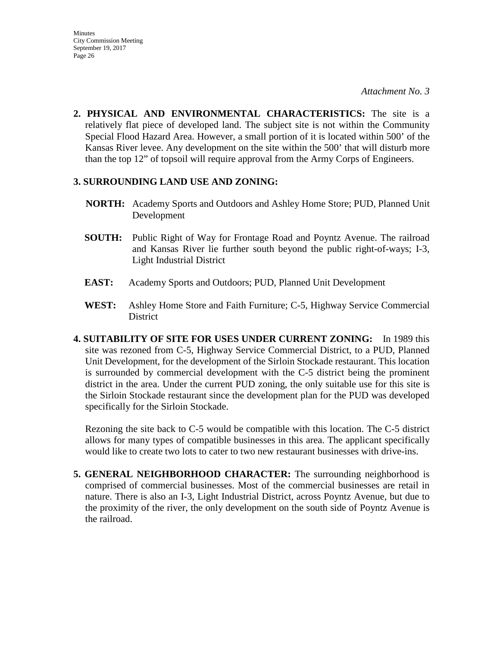**2. PHYSICAL AND ENVIRONMENTAL CHARACTERISTICS:** The site is a relatively flat piece of developed land. The subject site is not within the Community Special Flood Hazard Area. However, a small portion of it is located within 500' of the Kansas River levee. Any development on the site within the 500' that will disturb more than the top 12" of topsoil will require approval from the Army Corps of Engineers.

## **3. SURROUNDING LAND USE AND ZONING:**

- **NORTH:** Academy Sports and Outdoors and Ashley Home Store; PUD, Planned Unit Development
- **SOUTH:** Public Right of Way for Frontage Road and Poyntz Avenue. The railroad and Kansas River lie further south beyond the public right-of-ways; I-3, Light Industrial District
- **EAST:** Academy Sports and Outdoors; PUD, Planned Unit Development
- **WEST:** Ashley Home Store and Faith Furniture; C-5, Highway Service Commercial District
- **4. SUITABILITY OF SITE FOR USES UNDER CURRENT ZONING:** In 1989 this site was rezoned from C-5, Highway Service Commercial District, to a PUD, Planned Unit Development, for the development of the Sirloin Stockade restaurant. This location is surrounded by commercial development with the C-5 district being the prominent district in the area. Under the current PUD zoning, the only suitable use for this site is the Sirloin Stockade restaurant since the development plan for the PUD was developed specifically for the Sirloin Stockade.

Rezoning the site back to C-5 would be compatible with this location. The C-5 district allows for many types of compatible businesses in this area. The applicant specifically would like to create two lots to cater to two new restaurant businesses with drive-ins.

**5. GENERAL NEIGHBORHOOD CHARACTER:** The surrounding neighborhood is comprised of commercial businesses. Most of the commercial businesses are retail in nature. There is also an I-3, Light Industrial District, across Poyntz Avenue, but due to the proximity of the river, the only development on the south side of Poyntz Avenue is the railroad.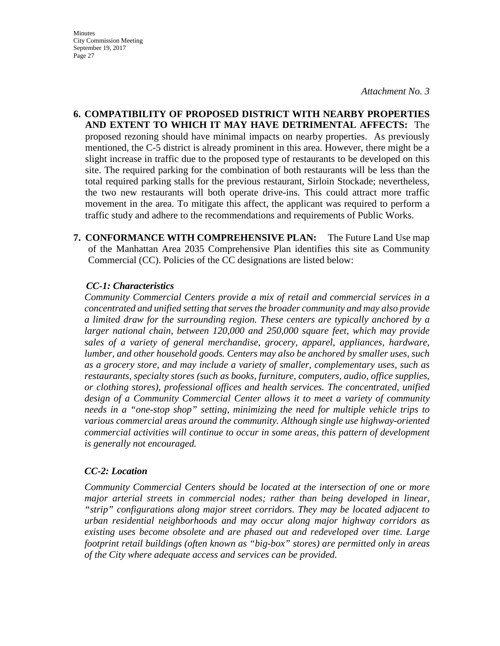*Attachment No. 3*

- **6. COMPATIBILITY OF PROPOSED DISTRICT WITH NEARBY PROPERTIES AND EXTENT TO WHICH IT MAY HAVE DETRIMENTAL AFFECTS:** The proposed rezoning should have minimal impacts on nearby properties. As previously mentioned, the C-5 district is already prominent in this area. However, there might be a slight increase in traffic due to the proposed type of restaurants to be developed on this site. The required parking for the combination of both restaurants will be less than the total required parking stalls for the previous restaurant, Sirloin Stockade; nevertheless, the two new restaurants will both operate drive-ins. This could attract more traffic movement in the area. To mitigate this affect, the applicant was required to perform a traffic study and adhere to the recommendations and requirements of Public Works.
- **7. CONFORMANCE WITH COMPREHENSIVE PLAN:** The Future Land Use map of the Manhattan Area 2035 Comprehensive Plan identifies this site as Community Commercial (CC). Policies of the CC designations are listed below:

### *CC-1: Characteristics*

*Community Commercial Centers provide a mix of retail and commercial services in a concentrated and unified setting that serves the broader community and may also provide a limited draw for the surrounding region. These centers are typically anchored by a larger national chain, between 120,000 and 250,000 square feet, which may provide sales of a variety of general merchandise, grocery, apparel, appliances, hardware, lumber, and other household goods. Centers may also be anchored by smaller uses, such as a grocery store, and may include a variety of smaller, complementary uses, such as restaurants, specialty stores (such as books, furniture, computers, audio, office supplies, or clothing stores), professional offices and health services. The concentrated, unified design of a Community Commercial Center allows it to meet a variety of community needs in a "one-stop shop" setting, minimizing the need for multiple vehicle trips to various commercial areas around the community. Although single use highway-oriented commercial activities will continue to occur in some areas, this pattern of development is generally not encouraged.* 

## *CC-2: Location*

*Community Commercial Centers should be located at the intersection of one or more major arterial streets in commercial nodes; rather than being developed in linear, "strip" configurations along major street corridors. They may be located adjacent to urban residential neighborhoods and may occur along major highway corridors as existing uses become obsolete and are phased out and redeveloped over time. Large footprint retail buildings (often known as "big-box" stores) are permitted only in areas of the City where adequate access and services can be provided.*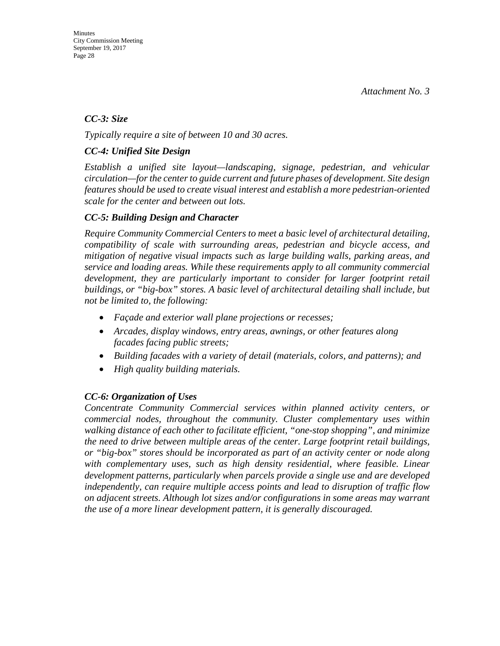## *CC-3: Size*

*Typically require a site of between 10 and 30 acres.* 

## *CC-4: Unified Site Design*

*Establish a unified site layout—landscaping, signage, pedestrian, and vehicular circulation—for the center to guide current and future phases of development. Site design features should be used to create visual interest and establish a more pedestrian-oriented scale for the center and between out lots.* 

### *CC-5: Building Design and Character*

*Require Community Commercial Centers to meet a basic level of architectural detailing, compatibility of scale with surrounding areas, pedestrian and bicycle access, and mitigation of negative visual impacts such as large building walls, parking areas, and service and loading areas. While these requirements apply to all community commercial development, they are particularly important to consider for larger footprint retail buildings, or "big-box" stores. A basic level of architectural detailing shall include, but not be limited to, the following:* 

- *Façade and exterior wall plane projections or recesses;*
- *Arcades, display windows, entry areas, awnings, or other features along facades facing public streets;*
- *Building facades with a variety of detail (materials, colors, and patterns); and*
- *High quality building materials.*

## *CC-6: Organization of Uses*

*Concentrate Community Commercial services within planned activity centers, or commercial nodes, throughout the community. Cluster complementary uses within walking distance of each other to facilitate efficient, "one-stop shopping", and minimize the need to drive between multiple areas of the center. Large footprint retail buildings, or "big-box" stores should be incorporated as part of an activity center or node along with complementary uses, such as high density residential, where feasible. Linear development patterns, particularly when parcels provide a single use and are developed independently, can require multiple access points and lead to disruption of traffic flow on adjacent streets. Although lot sizes and/or configurations in some areas may warrant the use of a more linear development pattern, it is generally discouraged.*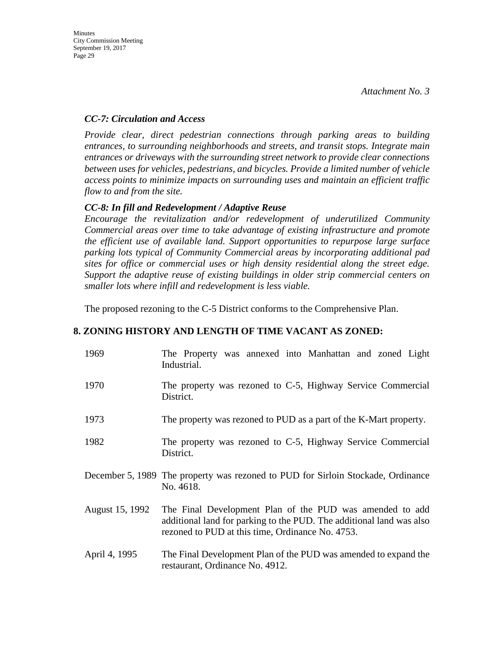## *CC-7: Circulation and Access*

*Provide clear, direct pedestrian connections through parking areas to building entrances, to surrounding neighborhoods and streets, and transit stops. Integrate main entrances or driveways with the surrounding street network to provide clear connections between uses for vehicles, pedestrians, and bicycles. Provide a limited number of vehicle access points to minimize impacts on surrounding uses and maintain an efficient traffic flow to and from the site.* 

## *CC-8: In fill and Redevelopment / Adaptive Reuse*

*Encourage the revitalization and/or redevelopment of underutilized Community Commercial areas over time to take advantage of existing infrastructure and promote the efficient use of available land. Support opportunities to repurpose large surface parking lots typical of Community Commercial areas by incorporating additional pad sites for office or commercial uses or high density residential along the street edge. Support the adaptive reuse of existing buildings in older strip commercial centers on smaller lots where infill and redevelopment is less viable.*

The proposed rezoning to the C-5 District conforms to the Comprehensive Plan.

## **8. ZONING HISTORY AND LENGTH OF TIME VACANT AS ZONED:**

| 1969            | The Property was annexed into Manhattan and zoned Light<br>Industrial.                                                                                                               |
|-----------------|--------------------------------------------------------------------------------------------------------------------------------------------------------------------------------------|
| 1970            | The property was rezoned to C-5, Highway Service Commercial<br>District.                                                                                                             |
| 1973            | The property was rezoned to PUD as a part of the K-Mart property.                                                                                                                    |
| 1982            | The property was rezoned to C-5, Highway Service Commercial<br>District.                                                                                                             |
|                 | December 5, 1989 The property was rezoned to PUD for Sirloin Stockade, Ordinance<br>No. 4618.                                                                                        |
| August 15, 1992 | The Final Development Plan of the PUD was amended to add<br>additional land for parking to the PUD. The additional land was also<br>rezoned to PUD at this time, Ordinance No. 4753. |
| April 4, 1995   | The Final Development Plan of the PUD was amended to expand the<br>restaurant, Ordinance No. 4912.                                                                                   |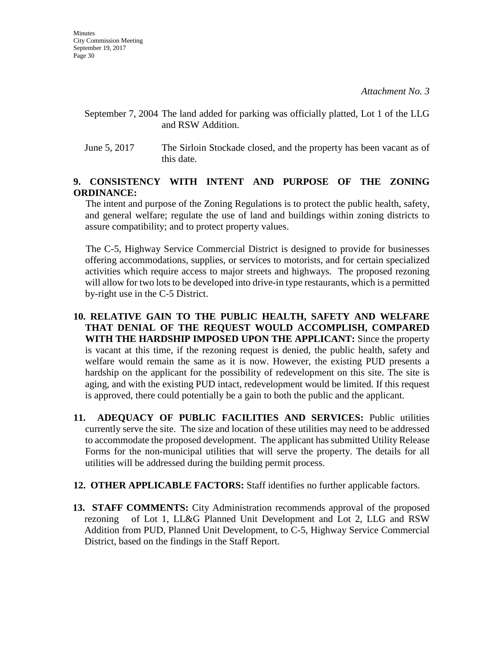- September 7, 2004 The land added for parking was officially platted, Lot 1 of the LLG and RSW Addition.
- June 5, 2017 The Sirloin Stockade closed, and the property has been vacant as of this date.

## **9. CONSISTENCY WITH INTENT AND PURPOSE OF THE ZONING ORDINANCE:**

 The intent and purpose of the Zoning Regulations is to protect the public health, safety, and general welfare; regulate the use of land and buildings within zoning districts to assure compatibility; and to protect property values.

 The C-5, Highway Service Commercial District is designed to provide for businesses offering accommodations, supplies, or services to motorists, and for certain specialized activities which require access to major streets and highways. The proposed rezoning will allow for two lots to be developed into drive-in type restaurants, which is a permitted by-right use in the C-5 District.

- **10. RELATIVE GAIN TO THE PUBLIC HEALTH, SAFETY AND WELFARE THAT DENIAL OF THE REQUEST WOULD ACCOMPLISH, COMPARED WITH THE HARDSHIP IMPOSED UPON THE APPLICANT:** Since the property is vacant at this time, if the rezoning request is denied, the public health, safety and welfare would remain the same as it is now. However, the existing PUD presents a hardship on the applicant for the possibility of redevelopment on this site. The site is aging, and with the existing PUD intact, redevelopment would be limited. If this request is approved, there could potentially be a gain to both the public and the applicant.
- **11. ADEQUACY OF PUBLIC FACILITIES AND SERVICES:** Public utilities currently serve the site. The size and location of these utilities may need to be addressed to accommodate the proposed development. The applicant has submitted Utility Release Forms for the non-municipal utilities that will serve the property. The details for all utilities will be addressed during the building permit process.
- **12. OTHER APPLICABLE FACTORS:** Staff identifies no further applicable factors.
- **13. STAFF COMMENTS:** City Administration recommends approval of the proposed rezoning of Lot 1, LL&G Planned Unit Development and Lot 2, LLG and RSW Addition from PUD, Planned Unit Development, to C-5, Highway Service Commercial District, based on the findings in the Staff Report.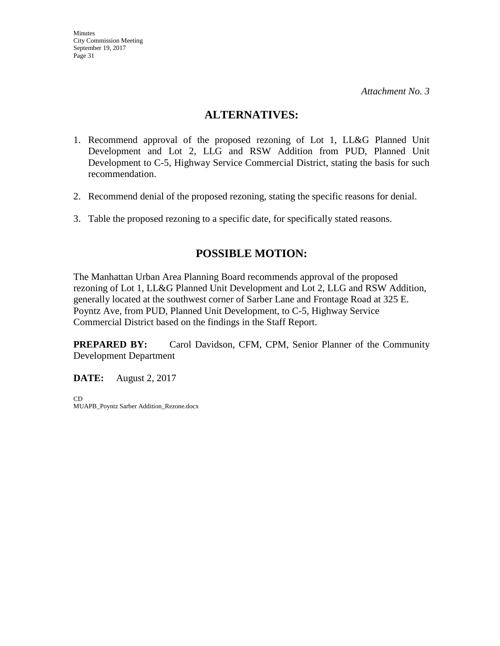## **ALTERNATIVES:**

- 1. Recommend approval of the proposed rezoning of Lot 1, LL&G Planned Unit Development and Lot 2, LLG and RSW Addition from PUD, Planned Unit Development to C-5, Highway Service Commercial District, stating the basis for such recommendation.
- 2. Recommend denial of the proposed rezoning, stating the specific reasons for denial.
- 3. Table the proposed rezoning to a specific date, for specifically stated reasons.

## **POSSIBLE MOTION:**

The Manhattan Urban Area Planning Board recommends approval of the proposed rezoning of Lot 1, LL&G Planned Unit Development and Lot 2, LLG and RSW Addition, generally located at the southwest corner of Sarber Lane and Frontage Road at 325 E. Poyntz Ave, from PUD, Planned Unit Development, to C-5, Highway Service Commercial District based on the findings in the Staff Report.

**PREPARED BY:** Carol Davidson, CFM, CPM, Senior Planner of the Community Development Department

**DATE:** August 2, 2017

CD MUAPB\_Poyntz Sarber Addition\_Rezone.docx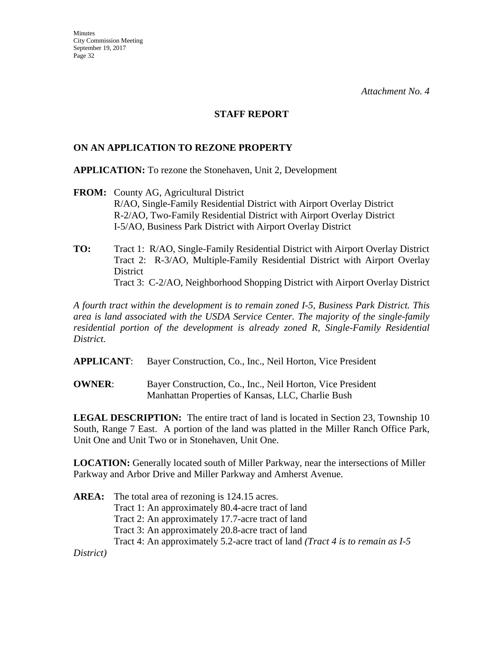#### **STAFF REPORT**

## **ON AN APPLICATION TO REZONE PROPERTY**

**APPLICATION:** To rezone the Stonehaven, Unit 2, Development

- **FROM:** County AG, Agricultural District R/AO, Single-Family Residential District with Airport Overlay District R-2/AO, Two-Family Residential District with Airport Overlay District I-5/AO, Business Park District with Airport Overlay District
- **TO:** Tract 1:R/AO, Single-Family Residential District with Airport Overlay District Tract 2: R-3/AO, Multiple-Family Residential District with Airport Overlay **District** Tract 3: C-2/AO, Neighborhood Shopping District with Airport Overlay District

*A fourth tract within the development is to remain zoned I-5, Business Park District. This area is land associated with the USDA Service Center. The majority of the single-family residential portion of the development is already zoned R, Single-Family Residential District.*

**APPLICANT**: Bayer Construction, Co., Inc., Neil Horton, Vice President

**OWNER:** Bayer Construction, Co., Inc., Neil Horton, Vice President Manhattan Properties of Kansas, LLC, Charlie Bush

**LEGAL DESCRIPTION:** The entire tract of land is located in Section 23, Township 10 South, Range 7 East. A portion of the land was platted in the Miller Ranch Office Park, Unit One and Unit Two or in Stonehaven, Unit One.

**LOCATION:** Generally located south of Miller Parkway, near the intersections of Miller Parkway and Arbor Drive and Miller Parkway and Amherst Avenue.

**AREA:** The total area of rezoning is 124.15 acres. Tract 1: An approximately 80.4-acre tract of land Tract 2: An approximately 17.7-acre tract of land Tract 3: An approximately 20.8-acre tract of land Tract 4: An approximately 5.2-acre tract of land *(Tract 4 is to remain as I-5* 

*District)*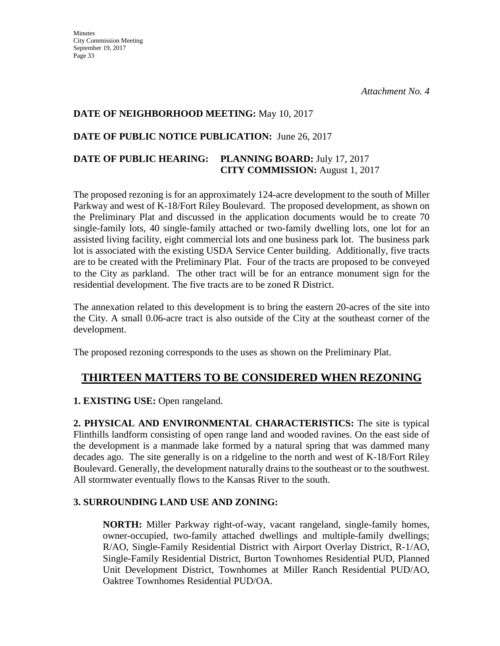## **DATE OF NEIGHBORHOOD MEETING:** May 10, 2017

## **DATE OF PUBLIC NOTICE PUBLICATION:** June 26, 2017

## **DATE OF PUBLIC HEARING: PLANNING BOARD:** July 17, 2017 **CITY COMMISSION:** August 1, 2017

The proposed rezoning is for an approximately 124-acre development to the south of Miller Parkway and west of K-18/Fort Riley Boulevard. The proposed development, as shown on the Preliminary Plat and discussed in the application documents would be to create 70 single-family lots, 40 single-family attached or two-family dwelling lots, one lot for an assisted living facility, eight commercial lots and one business park lot. The business park lot is associated with the existing USDA Service Center building. Additionally, five tracts are to be created with the Preliminary Plat. Four of the tracts are proposed to be conveyed to the City as parkland. The other tract will be for an entrance monument sign for the residential development. The five tracts are to be zoned R District.

The annexation related to this development is to bring the eastern 20-acres of the site into the City. A small 0.06-acre tract is also outside of the City at the southeast corner of the development.

The proposed rezoning corresponds to the uses as shown on the Preliminary Plat.

## **THIRTEEN MATTERS TO BE CONSIDERED WHEN REZONING**

**1. EXISTING USE:** Open rangeland.

**2. PHYSICAL AND ENVIRONMENTAL CHARACTERISTICS:** The site is typical Flinthills landform consisting of open range land and wooded ravines. On the east side of the development is a manmade lake formed by a natural spring that was dammed many decades ago. The site generally is on a ridgeline to the north and west of K-18/Fort Riley Boulevard. Generally, the development naturally drains to the southeast or to the southwest. All stormwater eventually flows to the Kansas River to the south.

## **3. SURROUNDING LAND USE AND ZONING:**

**NORTH:** Miller Parkway right-of-way, vacant rangeland, single-family homes, owner-occupied, two-family attached dwellings and multiple-family dwellings; R/AO, Single-Family Residential District with Airport Overlay District, R-1/AO, Single-Family Residential District, Burton Townhomes Residential PUD, Planned Unit Development District, Townhomes at Miller Ranch Residential PUD/AO, Oaktree Townhomes Residential PUD/OA.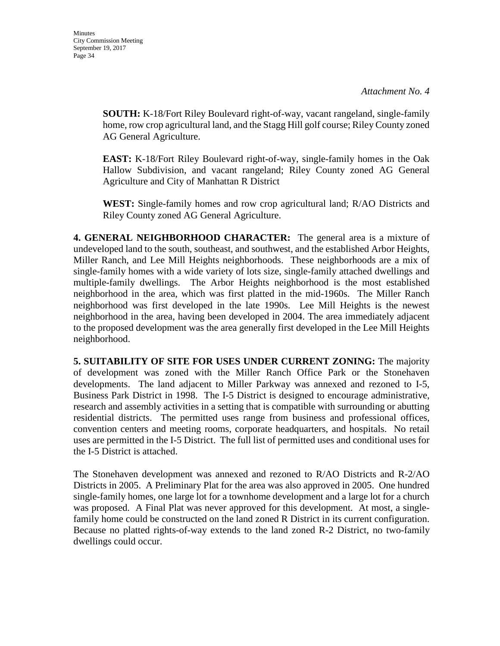**SOUTH:** K-18/Fort Riley Boulevard right-of-way, vacant rangeland, single-family home, row crop agricultural land, and the Stagg Hill golf course; Riley County zoned AG General Agriculture.

**EAST:** K-18/Fort Riley Boulevard right-of-way, single-family homes in the Oak Hallow Subdivision, and vacant rangeland; Riley County zoned AG General Agriculture and City of Manhattan R District

**WEST:** Single-family homes and row crop agricultural land; R/AO Districts and Riley County zoned AG General Agriculture.

**4. GENERAL NEIGHBORHOOD CHARACTER:** The general area is a mixture of undeveloped land to the south, southeast, and southwest, and the established Arbor Heights, Miller Ranch, and Lee Mill Heights neighborhoods. These neighborhoods are a mix of single-family homes with a wide variety of lots size, single-family attached dwellings and multiple-family dwellings. The Arbor Heights neighborhood is the most established neighborhood in the area, which was first platted in the mid-1960s. The Miller Ranch neighborhood was first developed in the late 1990s. Lee Mill Heights is the newest neighborhood in the area, having been developed in 2004. The area immediately adjacent to the proposed development was the area generally first developed in the Lee Mill Heights neighborhood.

**5. SUITABILITY OF SITE FOR USES UNDER CURRENT ZONING:** The majority of development was zoned with the Miller Ranch Office Park or the Stonehaven developments. The land adjacent to Miller Parkway was annexed and rezoned to I-5, Business Park District in 1998. The I-5 District is designed to encourage administrative, research and assembly activities in a setting that is compatible with surrounding or abutting residential districts. The permitted uses range from business and professional offices, convention centers and meeting rooms, corporate headquarters, and hospitals. No retail uses are permitted in the I-5 District. The full list of permitted uses and conditional uses for the I-5 District is attached.

The Stonehaven development was annexed and rezoned to R/AO Districts and R-2/AO Districts in 2005. A Preliminary Plat for the area was also approved in 2005. One hundred single-family homes, one large lot for a townhome development and a large lot for a church was proposed. A Final Plat was never approved for this development. At most, a singlefamily home could be constructed on the land zoned R District in its current configuration. Because no platted rights-of-way extends to the land zoned R-2 District, no two-family dwellings could occur.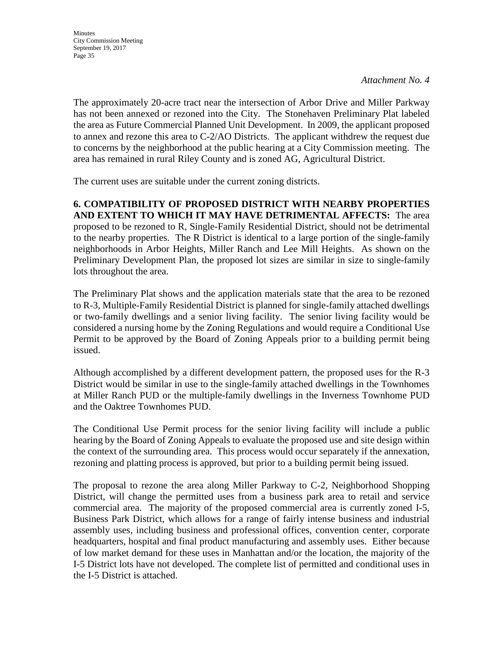*Attachment No. 4*

The approximately 20-acre tract near the intersection of Arbor Drive and Miller Parkway has not been annexed or rezoned into the City. The Stonehaven Preliminary Plat labeled the area as Future Commercial Planned Unit Development. In 2009, the applicant proposed to annex and rezone this area to C-2/AO Districts. The applicant withdrew the request due to concerns by the neighborhood at the public hearing at a City Commission meeting. The area has remained in rural Riley County and is zoned AG, Agricultural District.

The current uses are suitable under the current zoning districts.

## **6. COMPATIBILITY OF PROPOSED DISTRICT WITH NEARBY PROPERTIES AND EXTENT TO WHICH IT MAY HAVE DETRIMENTAL AFFECTS:** The area proposed to be rezoned to R, Single-Family Residential District, should not be detrimental to the nearby properties. The R District is identical to a large portion of the single-family neighborhoods in Arbor Heights, Miller Ranch and Lee Mill Heights. As shown on the Preliminary Development Plan, the proposed lot sizes are similar in size to single-family lots throughout the area.

The Preliminary Plat shows and the application materials state that the area to be rezoned to R-3, Multiple-Family Residential District is planned for single-family attached dwellings or two-family dwellings and a senior living facility. The senior living facility would be considered a nursing home by the Zoning Regulations and would require a Conditional Use Permit to be approved by the Board of Zoning Appeals prior to a building permit being issued.

Although accomplished by a different development pattern, the proposed uses for the R-3 District would be similar in use to the single-family attached dwellings in the Townhomes at Miller Ranch PUD or the multiple-family dwellings in the Inverness Townhome PUD and the Oaktree Townhomes PUD.

The Conditional Use Permit process for the senior living facility will include a public hearing by the Board of Zoning Appeals to evaluate the proposed use and site design within the context of the surrounding area. This process would occur separately if the annexation, rezoning and platting process is approved, but prior to a building permit being issued.

The proposal to rezone the area along Miller Parkway to C-2, Neighborhood Shopping District, will change the permitted uses from a business park area to retail and service commercial area. The majority of the proposed commercial area is currently zoned I-5, Business Park District, which allows for a range of fairly intense business and industrial assembly uses, including business and professional offices, convention center, corporate headquarters, hospital and final product manufacturing and assembly uses. Either because of low market demand for these uses in Manhattan and/or the location, the majority of the I-5 District lots have not developed. The complete list of permitted and conditional uses in the I-5 District is attached.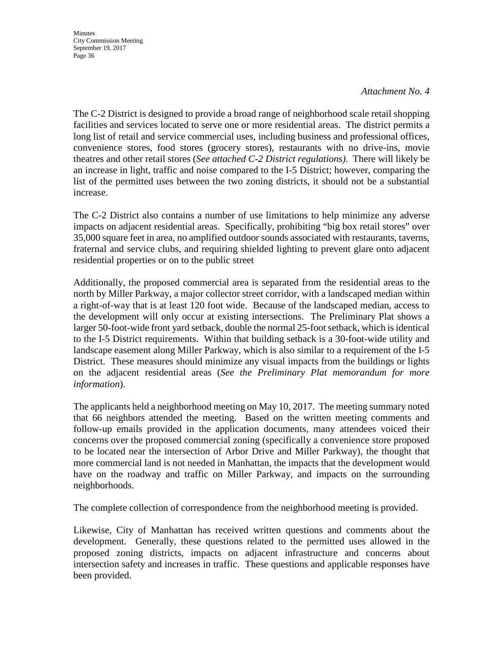#### *Attachment No. 4*

The C-2 District is designed to provide a broad range of neighborhood scale retail shopping facilities and services located to serve one or more residential areas. The district permits a long list of retail and service commercial uses, including business and professional offices, convenience stores, food stores (grocery stores), restaurants with no drive-ins, movie theatres and other retail stores (*See attached C-2 District regulations)*. There will likely be an increase in light, traffic and noise compared to the I-5 District; however, comparing the list of the permitted uses between the two zoning districts, it should not be a substantial increase.

The C-2 District also contains a number of use limitations to help minimize any adverse impacts on adjacent residential areas. Specifically, prohibiting "big box retail stores" over 35,000 square feet in area, no amplified outdoor sounds associated with restaurants, taverns, fraternal and service clubs, and requiring shielded lighting to prevent glare onto adjacent residential properties or on to the public street

Additionally, the proposed commercial area is separated from the residential areas to the north by Miller Parkway, a major collector street corridor, with a landscaped median within a right-of-way that is at least 120 foot wide. Because of the landscaped median, access to the development will only occur at existing intersections. The Preliminary Plat shows a larger 50-foot-wide front yard setback, double the normal 25-foot setback, which is identical to the I-5 District requirements. Within that building setback is a 30-foot-wide utility and landscape easement along Miller Parkway, which is also similar to a requirement of the I-5 District. These measures should minimize any visual impacts from the buildings or lights on the adjacent residential areas (*See the Preliminary Plat memorandum for more information*).

The applicants held a neighborhood meeting on May 10, 2017. The meeting summary noted that 66 neighbors attended the meeting. Based on the written meeting comments and follow-up emails provided in the application documents, many attendees voiced their concerns over the proposed commercial zoning (specifically a convenience store proposed to be located near the intersection of Arbor Drive and Miller Parkway), the thought that more commercial land is not needed in Manhattan, the impacts that the development would have on the roadway and traffic on Miller Parkway, and impacts on the surrounding neighborhoods.

The complete collection of correspondence from the neighborhood meeting is provided.

Likewise, City of Manhattan has received written questions and comments about the development. Generally, these questions related to the permitted uses allowed in the proposed zoning districts, impacts on adjacent infrastructure and concerns about intersection safety and increases in traffic. These questions and applicable responses have been provided.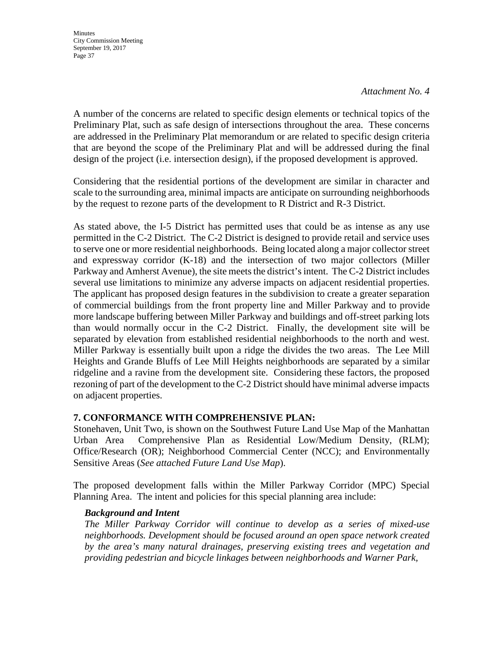#### *Attachment No. 4*

A number of the concerns are related to specific design elements or technical topics of the Preliminary Plat, such as safe design of intersections throughout the area. These concerns are addressed in the Preliminary Plat memorandum or are related to specific design criteria that are beyond the scope of the Preliminary Plat and will be addressed during the final design of the project (i.e. intersection design), if the proposed development is approved.

Considering that the residential portions of the development are similar in character and scale to the surrounding area, minimal impacts are anticipate on surrounding neighborhoods by the request to rezone parts of the development to R District and R-3 District.

As stated above, the I-5 District has permitted uses that could be as intense as any use permitted in the C-2 District. The C-2 District is designed to provide retail and service uses to serve one or more residential neighborhoods. Being located along a major collector street and expressway corridor (K-18) and the intersection of two major collectors (Miller Parkway and Amherst Avenue), the site meets the district's intent. The C-2 District includes several use limitations to minimize any adverse impacts on adjacent residential properties. The applicant has proposed design features in the subdivision to create a greater separation of commercial buildings from the front property line and Miller Parkway and to provide more landscape buffering between Miller Parkway and buildings and off-street parking lots than would normally occur in the C-2 District. Finally, the development site will be separated by elevation from established residential neighborhoods to the north and west. Miller Parkway is essentially built upon a ridge the divides the two areas. The Lee Mill Heights and Grande Bluffs of Lee Mill Heights neighborhoods are separated by a similar ridgeline and a ravine from the development site. Considering these factors, the proposed rezoning of part of the development to the C-2 District should have minimal adverse impacts on adjacent properties.

## **7. CONFORMANCE WITH COMPREHENSIVE PLAN:**

Stonehaven, Unit Two, is shown on the Southwest Future Land Use Map of the Manhattan Urban Area Comprehensive Plan as Residential Low/Medium Density, (RLM); Office/Research (OR); Neighborhood Commercial Center (NCC); and Environmentally Sensitive Areas (*See attached Future Land Use Map*).

The proposed development falls within the Miller Parkway Corridor (MPC) Special Planning Area. The intent and policies for this special planning area include:

## *Background and Intent*

*The Miller Parkway Corridor will continue to develop as a series of mixed-use neighborhoods. Development should be focused around an open space network created by the area's many natural drainages, preserving existing trees and vegetation and providing pedestrian and bicycle linkages between neighborhoods and Warner Park,*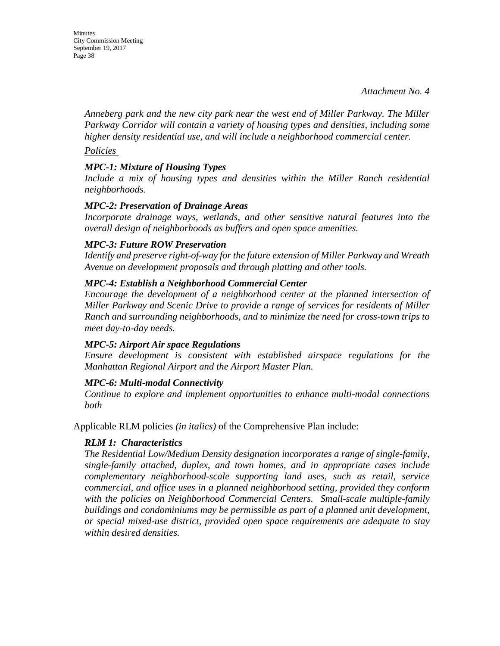*Anneberg park and the new city park near the west end of Miller Parkway. The Miller Parkway Corridor will contain a variety of housing types and densities, including some higher density residential use, and will include a neighborhood commercial center.* 

*Policies* 

## *MPC-1: Mixture of Housing Types*

*Include a mix of housing types and densities within the Miller Ranch residential neighborhoods.* 

### *MPC-2: Preservation of Drainage Areas*

*Incorporate drainage ways, wetlands, and other sensitive natural features into the overall design of neighborhoods as buffers and open space amenities.* 

### *MPC-3: Future ROW Preservation*

*Identify and preserve right-of-way for the future extension of Miller Parkway and Wreath Avenue on development proposals and through platting and other tools.* 

### *MPC-4: Establish a Neighborhood Commercial Center*

*Encourage the development of a neighborhood center at the planned intersection of Miller Parkway and Scenic Drive to provide a range of services for residents of Miller Ranch and surrounding neighborhoods, and to minimize the need for cross-town trips to meet day-to-day needs.* 

#### *MPC-5: Airport Air space Regulations*

*Ensure development is consistent with established airspace regulations for the Manhattan Regional Airport and the Airport Master Plan.* 

#### *MPC-6: Multi-modal Connectivity*

*Continue to explore and implement opportunities to enhance multi-modal connections both* 

Applicable RLM policies *(in italics)* of the Comprehensive Plan include:

## *RLM 1: Characteristics*

*The Residential Low/Medium Density designation incorporates a range of single-family, single-family attached, duplex, and town homes, and in appropriate cases include complementary neighborhood-scale supporting land uses, such as retail, service commercial, and office uses in a planned neighborhood setting, provided they conform with the policies on Neighborhood Commercial Centers. Small-scale multiple-family buildings and condominiums may be permissible as part of a planned unit development, or special mixed-use district, provided open space requirements are adequate to stay within desired densities.*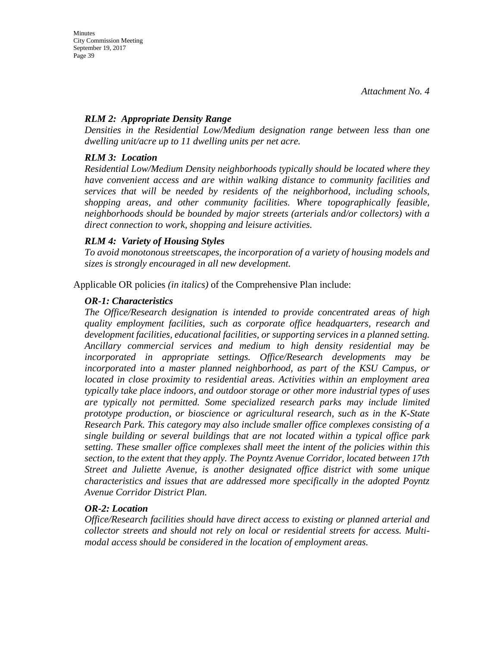### *RLM 2: Appropriate Density Range*

*Densities in the Residential Low/Medium designation range between less than one dwelling unit/acre up to 11 dwelling units per net acre.* 

#### *RLM 3: Location*

*Residential Low/Medium Density neighborhoods typically should be located where they have convenient access and are within walking distance to community facilities and services that will be needed by residents of the neighborhood, including schools, shopping areas, and other community facilities. Where topographically feasible, neighborhoods should be bounded by major streets (arterials and/or collectors) with a direct connection to work, shopping and leisure activities.* 

#### *RLM 4: Variety of Housing Styles*

*To avoid monotonous streetscapes, the incorporation of a variety of housing models and sizes is strongly encouraged in all new development.* 

Applicable OR policies *(in italics)* of the Comprehensive Plan include:

### *OR-1: Characteristics*

*The Office/Research designation is intended to provide concentrated areas of high quality employment facilities, such as corporate office headquarters, research and development facilities, educational facilities, or supporting services in a planned setting. Ancillary commercial services and medium to high density residential may be incorporated in appropriate settings. Office/Research developments may be*  incorporated into a master planned neighborhood, as part of the KSU Campus, or *located in close proximity to residential areas. Activities within an employment area typically take place indoors, and outdoor storage or other more industrial types of uses are typically not permitted. Some specialized research parks may include limited prototype production, or bioscience or agricultural research, such as in the K-State Research Park. This category may also include smaller office complexes consisting of a single building or several buildings that are not located within a typical office park setting. These smaller office complexes shall meet the intent of the policies within this section, to the extent that they apply. The Poyntz Avenue Corridor, located between 17th Street and Juliette Avenue, is another designated office district with some unique characteristics and issues that are addressed more specifically in the adopted Poyntz Avenue Corridor District Plan.* 

#### *OR-2: Location*

*Office/Research facilities should have direct access to existing or planned arterial and collector streets and should not rely on local or residential streets for access. Multimodal access should be considered in the location of employment areas.*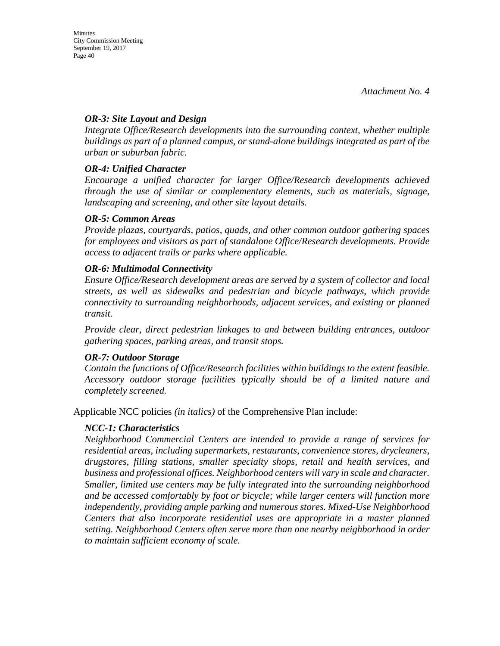## *OR-3: Site Layout and Design*

*Integrate Office/Research developments into the surrounding context, whether multiple buildings as part of a planned campus, or stand-alone buildings integrated as part of the urban or suburban fabric.*

### *OR-4: Unified Character*

*Encourage a unified character for larger Office/Research developments achieved through the use of similar or complementary elements, such as materials, signage, landscaping and screening, and other site layout details.* 

#### *OR-5: Common Areas*

*Provide plazas, courtyards, patios, quads, and other common outdoor gathering spaces for employees and visitors as part of standalone Office/Research developments. Provide access to adjacent trails or parks where applicable.* 

### *OR-6: Multimodal Connectivity*

*Ensure Office/Research development areas are served by a system of collector and local streets, as well as sidewalks and pedestrian and bicycle pathways, which provide connectivity to surrounding neighborhoods, adjacent services, and existing or planned transit.* 

*Provide clear, direct pedestrian linkages to and between building entrances, outdoor gathering spaces, parking areas, and transit stops.* 

#### *OR-7: Outdoor Storage*

*Contain the functions of Office/Research facilities within buildings to the extent feasible. Accessory outdoor storage facilities typically should be of a limited nature and completely screened.*

Applicable NCC policies *(in italics)* of the Comprehensive Plan include:

## *NCC-1: Characteristics*

*Neighborhood Commercial Centers are intended to provide a range of services for residential areas, including supermarkets, restaurants, convenience stores, drycleaners, drugstores, filling stations, smaller specialty shops, retail and health services, and business and professional offices. Neighborhood centers will vary in scale and character. Smaller, limited use centers may be fully integrated into the surrounding neighborhood and be accessed comfortably by foot or bicycle; while larger centers will function more independently, providing ample parking and numerous stores. Mixed-Use Neighborhood Centers that also incorporate residential uses are appropriate in a master planned setting. Neighborhood Centers often serve more than one nearby neighborhood in order to maintain sufficient economy of scale.*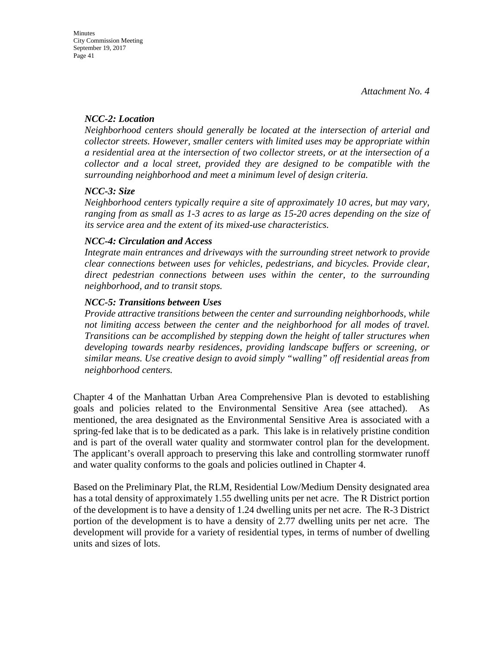## *NCC-2: Location*

*Neighborhood centers should generally be located at the intersection of arterial and collector streets. However, smaller centers with limited uses may be appropriate within a residential area at the intersection of two collector streets, or at the intersection of a collector and a local street, provided they are designed to be compatible with the surrounding neighborhood and meet a minimum level of design criteria.* 

### *NCC-3: Size*

*Neighborhood centers typically require a site of approximately 10 acres, but may vary, ranging from as small as 1-3 acres to as large as 15-20 acres depending on the size of its service area and the extent of its mixed-use characteristics.* 

#### *NCC-4: Circulation and Access*

*Integrate main entrances and driveways with the surrounding street network to provide clear connections between uses for vehicles, pedestrians, and bicycles. Provide clear, direct pedestrian connections between uses within the center, to the surrounding neighborhood, and to transit stops.* 

### *NCC-5: Transitions between Uses*

*Provide attractive transitions between the center and surrounding neighborhoods, while not limiting access between the center and the neighborhood for all modes of travel. Transitions can be accomplished by stepping down the height of taller structures when developing towards nearby residences, providing landscape buffers or screening, or similar means. Use creative design to avoid simply "walling" off residential areas from neighborhood centers.* 

Chapter 4 of the Manhattan Urban Area Comprehensive Plan is devoted to establishing goals and policies related to the Environmental Sensitive Area (see attached). As mentioned, the area designated as the Environmental Sensitive Area is associated with a spring-fed lake that is to be dedicated as a park. This lake is in relatively pristine condition and is part of the overall water quality and stormwater control plan for the development. The applicant's overall approach to preserving this lake and controlling stormwater runoff and water quality conforms to the goals and policies outlined in Chapter 4.

Based on the Preliminary Plat, the RLM, Residential Low/Medium Density designated area has a total density of approximately 1.55 dwelling units per net acre. The R District portion of the development is to have a density of 1.24 dwelling units per net acre. The R-3 District portion of the development is to have a density of 2.77 dwelling units per net acre. The development will provide for a variety of residential types, in terms of number of dwelling units and sizes of lots.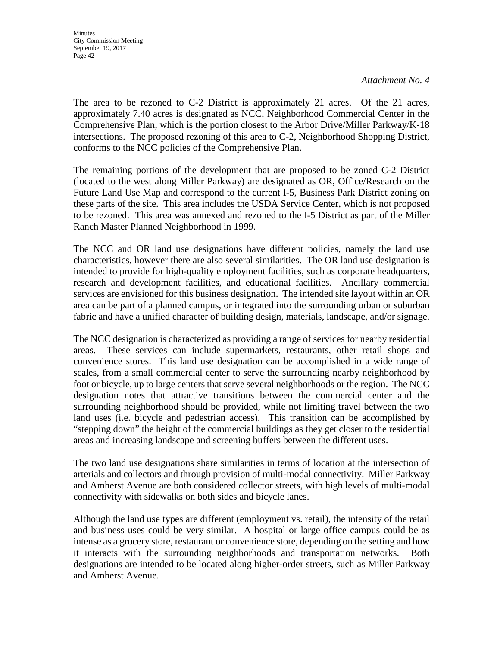*Attachment No. 4*

The area to be rezoned to C-2 District is approximately 21 acres. Of the 21 acres, approximately 7.40 acres is designated as NCC, Neighborhood Commercial Center in the Comprehensive Plan, which is the portion closest to the Arbor Drive/Miller Parkway/K-18 intersections. The proposed rezoning of this area to C-2, Neighborhood Shopping District, conforms to the NCC policies of the Comprehensive Plan.

The remaining portions of the development that are proposed to be zoned C-2 District (located to the west along Miller Parkway) are designated as OR, Office/Research on the Future Land Use Map and correspond to the current I-5, Business Park District zoning on these parts of the site. This area includes the USDA Service Center, which is not proposed to be rezoned. This area was annexed and rezoned to the I-5 District as part of the Miller Ranch Master Planned Neighborhood in 1999.

The NCC and OR land use designations have different policies, namely the land use characteristics, however there are also several similarities. The OR land use designation is intended to provide for high-quality employment facilities, such as corporate headquarters, research and development facilities, and educational facilities. Ancillary commercial services are envisioned for this business designation. The intended site layout within an OR area can be part of a planned campus, or integrated into the surrounding urban or suburban fabric and have a unified character of building design, materials, landscape, and/or signage.

The NCC designation is characterized as providing a range of services for nearby residential areas. These services can include supermarkets, restaurants, other retail shops and convenience stores. This land use designation can be accomplished in a wide range of scales, from a small commercial center to serve the surrounding nearby neighborhood by foot or bicycle, up to large centers that serve several neighborhoods or the region. The NCC designation notes that attractive transitions between the commercial center and the surrounding neighborhood should be provided, while not limiting travel between the two land uses (i.e. bicycle and pedestrian access). This transition can be accomplished by "stepping down" the height of the commercial buildings as they get closer to the residential areas and increasing landscape and screening buffers between the different uses.

The two land use designations share similarities in terms of location at the intersection of arterials and collectors and through provision of multi-modal connectivity. Miller Parkway and Amherst Avenue are both considered collector streets, with high levels of multi-modal connectivity with sidewalks on both sides and bicycle lanes.

Although the land use types are different (employment vs. retail), the intensity of the retail and business uses could be very similar. A hospital or large office campus could be as intense as a grocery store, restaurant or convenience store, depending on the setting and how it interacts with the surrounding neighborhoods and transportation networks. Both designations are intended to be located along higher-order streets, such as Miller Parkway and Amherst Avenue.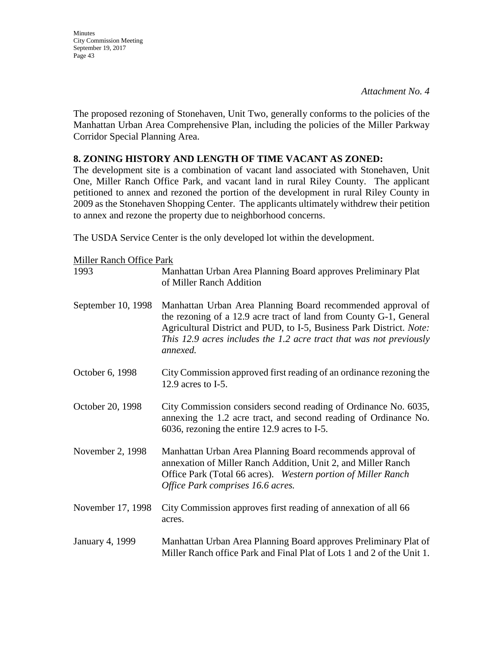*Attachment No. 4*

The proposed rezoning of Stonehaven, Unit Two, generally conforms to the policies of the Manhattan Urban Area Comprehensive Plan, including the policies of the Miller Parkway Corridor Special Planning Area.

## **8. ZONING HISTORY AND LENGTH OF TIME VACANT AS ZONED:**

The development site is a combination of vacant land associated with Stonehaven, Unit One, Miller Ranch Office Park, and vacant land in rural Riley County. The applicant petitioned to annex and rezoned the portion of the development in rural Riley County in 2009 as the Stonehaven Shopping Center. The applicants ultimately withdrew their petition to annex and rezone the property due to neighborhood concerns.

The USDA Service Center is the only developed lot within the development.

| <b>Miller Ranch Office Park</b> |                                                                                                                                                                                                                                                                                              |  |
|---------------------------------|----------------------------------------------------------------------------------------------------------------------------------------------------------------------------------------------------------------------------------------------------------------------------------------------|--|
| 1993                            | Manhattan Urban Area Planning Board approves Preliminary Plat<br>of Miller Ranch Addition                                                                                                                                                                                                    |  |
| September 10, 1998              | Manhattan Urban Area Planning Board recommended approval of<br>the rezoning of a 12.9 acre tract of land from County G-1, General<br>Agricultural District and PUD, to I-5, Business Park District. Note:<br>This 12.9 acres includes the 1.2 acre tract that was not previously<br>annexed. |  |
| October 6, 1998                 | City Commission approved first reading of an ordinance rezoning the<br>12.9 acres to $I-5$ .                                                                                                                                                                                                 |  |
| October 20, 1998                | City Commission considers second reading of Ordinance No. 6035,<br>annexing the 1.2 acre tract, and second reading of Ordinance No.<br>6036, rezoning the entire 12.9 acres to I-5.                                                                                                          |  |
| November 2, 1998                | Manhattan Urban Area Planning Board recommends approval of<br>annexation of Miller Ranch Addition, Unit 2, and Miller Ranch<br>Office Park (Total 66 acres). Western portion of Miller Ranch<br>Office Park comprises 16.6 acres.                                                            |  |
| November 17, 1998               | City Commission approves first reading of annexation of all 66<br>acres.                                                                                                                                                                                                                     |  |
| January 4, 1999                 | Manhattan Urban Area Planning Board approves Preliminary Plat of<br>Miller Ranch office Park and Final Plat of Lots 1 and 2 of the Unit 1.                                                                                                                                                   |  |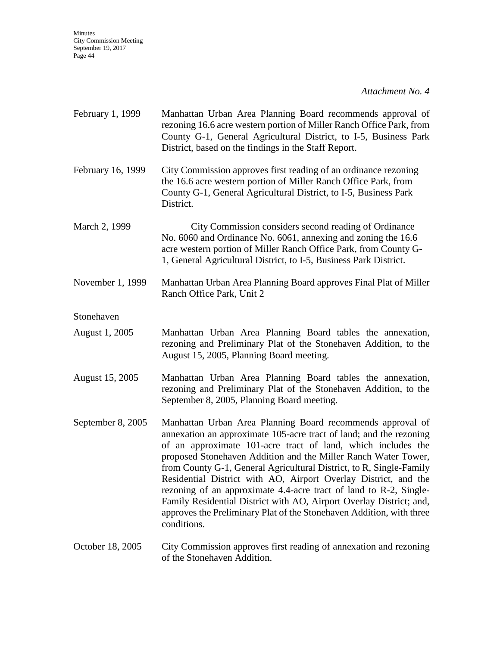*Attachment No. 4*

| February 1, 1999  | Manhattan Urban Area Planning Board recommends approval of<br>rezoning 16.6 acre western portion of Miller Ranch Office Park, from<br>County G-1, General Agricultural District, to I-5, Business Park<br>District, based on the findings in the Staff Report.                                                                                                                                                                                                                                                                                                                                                                                  |
|-------------------|-------------------------------------------------------------------------------------------------------------------------------------------------------------------------------------------------------------------------------------------------------------------------------------------------------------------------------------------------------------------------------------------------------------------------------------------------------------------------------------------------------------------------------------------------------------------------------------------------------------------------------------------------|
| February 16, 1999 | City Commission approves first reading of an ordinance rezoning<br>the 16.6 acre western portion of Miller Ranch Office Park, from<br>County G-1, General Agricultural District, to I-5, Business Park<br>District.                                                                                                                                                                                                                                                                                                                                                                                                                             |
| March 2, 1999     | City Commission considers second reading of Ordinance<br>No. 6060 and Ordinance No. 6061, annexing and zoning the 16.6<br>acre western portion of Miller Ranch Office Park, from County G-<br>1, General Agricultural District, to I-5, Business Park District.                                                                                                                                                                                                                                                                                                                                                                                 |
| November 1, 1999  | Manhattan Urban Area Planning Board approves Final Plat of Miller<br>Ranch Office Park, Unit 2                                                                                                                                                                                                                                                                                                                                                                                                                                                                                                                                                  |
| Stonehaven        |                                                                                                                                                                                                                                                                                                                                                                                                                                                                                                                                                                                                                                                 |
| August 1, 2005    | Manhattan Urban Area Planning Board tables the annexation,<br>rezoning and Preliminary Plat of the Stonehaven Addition, to the<br>August 15, 2005, Planning Board meeting.                                                                                                                                                                                                                                                                                                                                                                                                                                                                      |
| August 15, 2005   | Manhattan Urban Area Planning Board tables the annexation,<br>rezoning and Preliminary Plat of the Stonehaven Addition, to the<br>September 8, 2005, Planning Board meeting.                                                                                                                                                                                                                                                                                                                                                                                                                                                                    |
| September 8, 2005 | Manhattan Urban Area Planning Board recommends approval of<br>annexation an approximate 105-acre tract of land; and the rezoning<br>of an approximate 101-acre tract of land, which includes the<br>proposed Stonehaven Addition and the Miller Ranch Water Tower,<br>from County G-1, General Agricultural District, to R, Single-Family<br>Residential District with AO, Airport Overlay District, and the<br>rezoning of an approximate 4.4-acre tract of land to R-2, Single-<br>Family Residential District with AO, Airport Overlay District; and,<br>approves the Preliminary Plat of the Stonehaven Addition, with three<br>conditions. |
| October 18, 2005  | City Commission approves first reading of annexation and rezoning<br>of the Stonehaven Addition.                                                                                                                                                                                                                                                                                                                                                                                                                                                                                                                                                |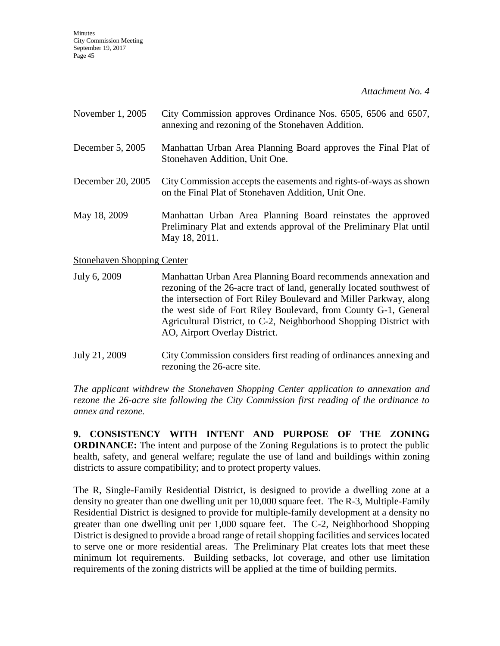*Attachment No. 4*

| November 1, 2005                  | City Commission approves Ordinance Nos. 6505, 6506 and 6507,<br>annexing and rezoning of the Stonehaven Addition.                                   |
|-----------------------------------|-----------------------------------------------------------------------------------------------------------------------------------------------------|
| December 5, 2005                  | Manhattan Urban Area Planning Board approves the Final Plat of<br>Stonehaven Addition, Unit One.                                                    |
| December 20, 2005                 | City Commission accepts the easements and rights-of-ways as shown<br>on the Final Plat of Stonehaven Addition, Unit One.                            |
| May 18, 2009                      | Manhattan Urban Area Planning Board reinstates the approved<br>Preliminary Plat and extends approval of the Preliminary Plat until<br>May 18, 2011. |
| <b>Stonehaven Shopping Center</b> |                                                                                                                                                     |

July 6, 2009 Manhattan Urban Area Planning Board recommends annexation and rezoning of the 26-acre tract of land, generally located southwest of the intersection of Fort Riley Boulevard and Miller Parkway, along the west side of Fort Riley Boulevard, from County G-1, General Agricultural District, to C-2, Neighborhood Shopping District with AO, Airport Overlay District.

July 21, 2009 City Commission considers first reading of ordinances annexing and rezoning the 26-acre site.

*The applicant withdrew the Stonehaven Shopping Center application to annexation and rezone the 26-acre site following the City Commission first reading of the ordinance to annex and rezone.*

**9. CONSISTENCY WITH INTENT AND PURPOSE OF THE ZONING ORDINANCE:** The intent and purpose of the Zoning Regulations is to protect the public health, safety, and general welfare; regulate the use of land and buildings within zoning districts to assure compatibility; and to protect property values.

The R, Single-Family Residential District, is designed to provide a dwelling zone at a density no greater than one dwelling unit per 10,000 square feet. The R-3, Multiple-Family Residential District is designed to provide for multiple-family development at a density no greater than one dwelling unit per 1,000 square feet. The C-2, Neighborhood Shopping District is designed to provide a broad range of retail shopping facilities and services located to serve one or more residential areas. The Preliminary Plat creates lots that meet these minimum lot requirements. Building setbacks, lot coverage, and other use limitation requirements of the zoning districts will be applied at the time of building permits.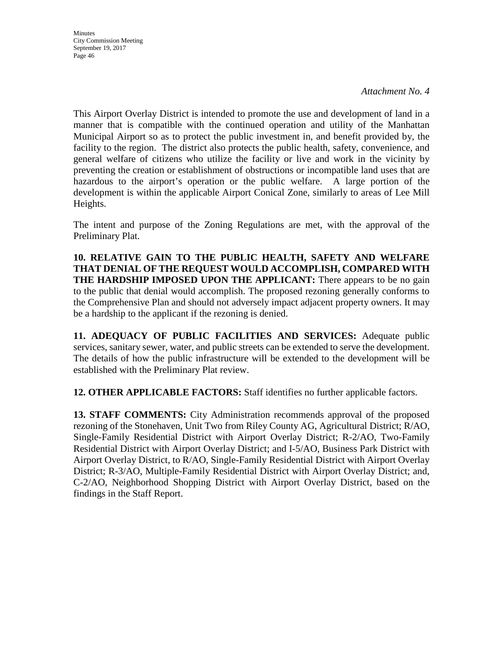**Minutes** City Commission Meeting September 19, 2017 Page 46

This Airport Overlay District is intended to promote the use and development of land in a manner that is compatible with the continued operation and utility of the Manhattan Municipal Airport so as to protect the public investment in, and benefit provided by, the facility to the region. The district also protects the public health, safety, convenience, and general welfare of citizens who utilize the facility or live and work in the vicinity by preventing the creation or establishment of obstructions or incompatible land uses that are hazardous to the airport's operation or the public welfare. A large portion of the development is within the applicable Airport Conical Zone, similarly to areas of Lee Mill Heights.

The intent and purpose of the Zoning Regulations are met, with the approval of the Preliminary Plat.

**10. RELATIVE GAIN TO THE PUBLIC HEALTH, SAFETY AND WELFARE THAT DENIAL OF THE REQUEST WOULD ACCOMPLISH, COMPARED WITH THE HARDSHIP IMPOSED UPON THE APPLICANT:** There appears to be no gain to the public that denial would accomplish. The proposed rezoning generally conforms to the Comprehensive Plan and should not adversely impact adjacent property owners. It may be a hardship to the applicant if the rezoning is denied.

**11. ADEQUACY OF PUBLIC FACILITIES AND SERVICES:** Adequate public services, sanitary sewer, water, and public streets can be extended to serve the development. The details of how the public infrastructure will be extended to the development will be established with the Preliminary Plat review.

**12. OTHER APPLICABLE FACTORS:** Staff identifies no further applicable factors.

**13. STAFF COMMENTS:** City Administration recommends approval of the proposed rezoning of the Stonehaven, Unit Two from Riley County AG, Agricultural District; R/AO, Single-Family Residential District with Airport Overlay District; R-2/AO, Two-Family Residential District with Airport Overlay District; and I-5/AO, Business Park District with Airport Overlay District, to R/AO, Single-Family Residential District with Airport Overlay District; R-3/AO, Multiple-Family Residential District with Airport Overlay District; and, C-2/AO, Neighborhood Shopping District with Airport Overlay District, based on the findings in the Staff Report.